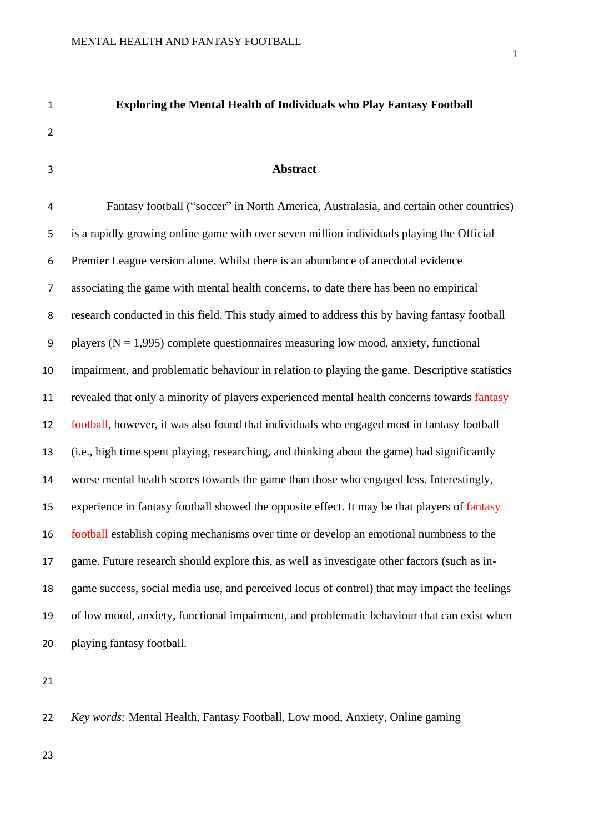# 

#### **Abstract**

**Exploring the Mental Health of Individuals who Play Fantasy Football**

 Fantasy football ("soccer" in North America, Australasia, and certain other countries) is a rapidly growing online game with over seven million individuals playing the Official Premier League version alone. Whilst there is an abundance of anecdotal evidence associating the game with mental health concerns, to date there has been no empirical research conducted in this field. This study aimed to address this by having fantasy football 9 players ( $N = 1.995$ ) complete questionnaires measuring low mood, anxiety, functional impairment, and problematic behaviour in relation to playing the game. Descriptive statistics revealed that only a minority of players experienced mental health concerns towards fantasy football, however, it was also found that individuals who engaged most in fantasy football (i.e., high time spent playing, researching, and thinking about the game) had significantly worse mental health scores towards the game than those who engaged less. Interestingly, experience in fantasy football showed the opposite effect. It may be that players of fantasy football establish coping mechanisms over time or develop an emotional numbness to the game. Future research should explore this, as well as investigate other factors (such as in- game success, social media use, and perceived locus of control) that may impact the feelings of low mood, anxiety, functional impairment, and problematic behaviour that can exist when playing fantasy football.

*Key words:* Mental Health, Fantasy Football, Low mood, Anxiety, Online gaming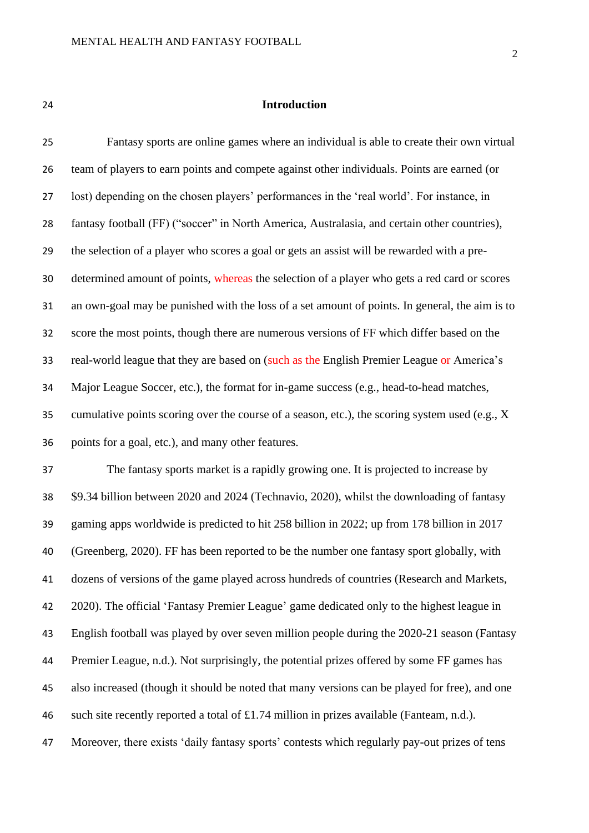#### **Introduction**

 Fantasy sports are online games where an individual is able to create their own virtual team of players to earn points and compete against other individuals. Points are earned (or lost) depending on the chosen players' performances in the 'real world'. For instance, in 28 fantasy football (FF) ("soccer" in North America, Australasia, and certain other countries), the selection of a player who scores a goal or gets an assist will be rewarded with a pre- determined amount of points, whereas the selection of a player who gets a red card or scores an own-goal may be punished with the loss of a set amount of points. In general, the aim is to score the most points, though there are numerous versions of FF which differ based on the real-world league that they are based on (such as the English Premier League or America's Major League Soccer, etc.), the format for in-game success (e.g., head-to-head matches, cumulative points scoring over the course of a season, etc.), the scoring system used (e.g., X points for a goal, etc.), and many other features.

 The fantasy sports market is a rapidly growing one. It is projected to increase by \$9.34 billion between 2020 and 2024 (Technavio, 2020), whilst the downloading of fantasy gaming apps worldwide is predicted to hit 258 billion in 2022; up from 178 billion in 2017 (Greenberg, 2020). FF has been reported to be the number one fantasy sport globally, with dozens of versions of the game played across hundreds of countries (Research and Markets, 2020). The official 'Fantasy Premier League' game dedicated only to the highest league in English football was played by over seven million people during the 2020-21 season (Fantasy Premier League, n.d.). Not surprisingly, the potential prizes offered by some FF games has also increased (though it should be noted that many versions can be played for free), and one such site recently reported a total of £1.74 million in prizes available (Fanteam, n.d.). Moreover, there exists 'daily fantasy sports' contests which regularly pay-out prizes of tens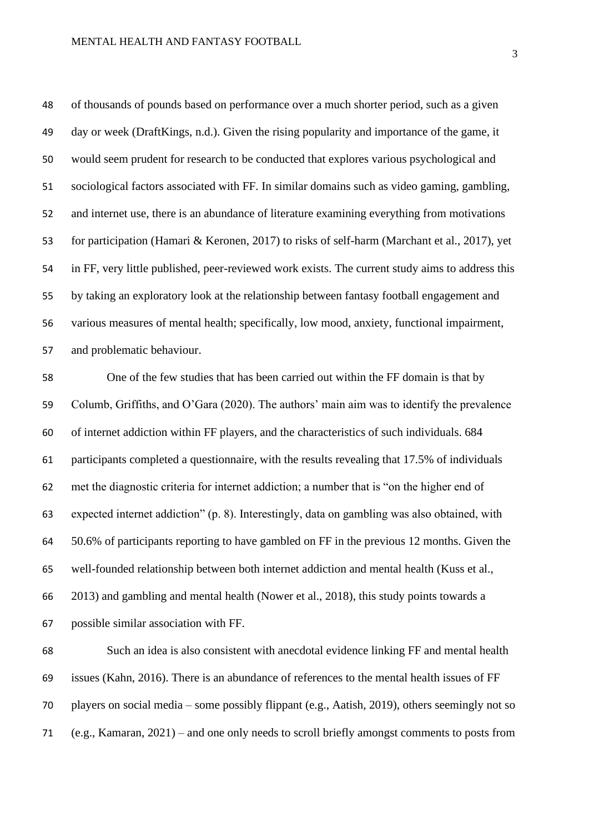of thousands of pounds based on performance over a much shorter period, such as a given day or week (DraftKings, n.d.). Given the rising popularity and importance of the game, it would seem prudent for research to be conducted that explores various psychological and sociological factors associated with FF. In similar domains such as video gaming, gambling, and internet use, there is an abundance of literature examining everything from motivations for participation (Hamari & Keronen, 2017) to risks of self-harm (Marchant et al., 2017), yet in FF, very little published, peer-reviewed work exists. The current study aims to address this by taking an exploratory look at the relationship between fantasy football engagement and various measures of mental health; specifically, low mood, anxiety, functional impairment, and problematic behaviour.

 One of the few studies that has been carried out within the FF domain is that by Columb, Griffiths, and O'Gara (2020). The authors' main aim was to identify the prevalence of internet addiction within FF players, and the characteristics of such individuals. 684 participants completed a questionnaire, with the results revealing that 17.5% of individuals met the diagnostic criteria for internet addiction; a number that is "on the higher end of expected internet addiction" (p. 8). Interestingly, data on gambling was also obtained, with 50.6% of participants reporting to have gambled on FF in the previous 12 months. Given the well-founded relationship between both internet addiction and mental health (Kuss et al., 2013) and gambling and mental health (Nower et al., 2018), this study points towards a possible similar association with FF.

 Such an idea is also consistent with anecdotal evidence linking FF and mental health issues (Kahn, 2016). There is an abundance of references to the mental health issues of FF players on social media – some possibly flippant (e.g., Aatish, 2019), others seemingly not so (e.g., Kamaran, 2021) – and one only needs to scroll briefly amongst comments to posts from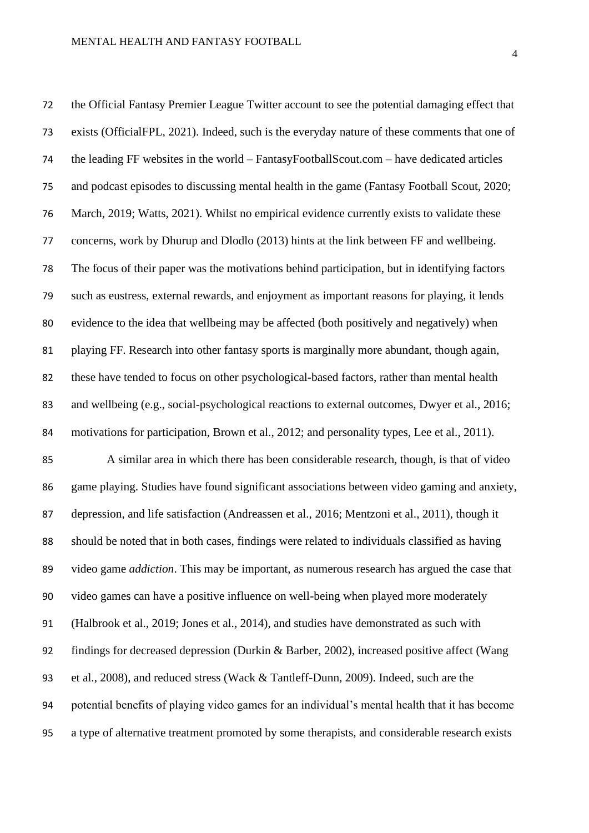the Official Fantasy Premier League Twitter account to see the potential damaging effect that exists (OfficialFPL, 2021). Indeed, such is the everyday nature of these comments that one of the leading FF websites in the world – FantasyFootballScout.com – have dedicated articles and podcast episodes to discussing mental health in the game (Fantasy Football Scout, 2020; March, 2019; Watts, 2021). Whilst no empirical evidence currently exists to validate these concerns, work by Dhurup and Dlodlo (2013) hints at the link between FF and wellbeing. The focus of their paper was the motivations behind participation, but in identifying factors such as eustress, external rewards, and enjoyment as important reasons for playing, it lends evidence to the idea that wellbeing may be affected (both positively and negatively) when playing FF. Research into other fantasy sports is marginally more abundant, though again, these have tended to focus on other psychological-based factors, rather than mental health 83 and wellbeing (e.g., social-psychological reactions to external outcomes, Dwyer et al., 2016; motivations for participation, Brown et al., 2012; and personality types, Lee et al., 2011). A similar area in which there has been considerable research, though, is that of video game playing. Studies have found significant associations between video gaming and anxiety, depression, and life satisfaction (Andreassen et al., 2016; Mentzoni et al., 2011), though it should be noted that in both cases, findings were related to individuals classified as having video game *addiction*. This may be important, as numerous research has argued the case that video games can have a positive influence on well-being when played more moderately (Halbrook et al., 2019; Jones et al., 2014), and studies have demonstrated as such with findings for decreased depression (Durkin & Barber, 2002), increased positive affect (Wang et al., 2008), and reduced stress (Wack & Tantleff-Dunn, 2009). Indeed, such are the potential benefits of playing video games for an individual's mental health that it has become a type of alternative treatment promoted by some therapists, and considerable research exists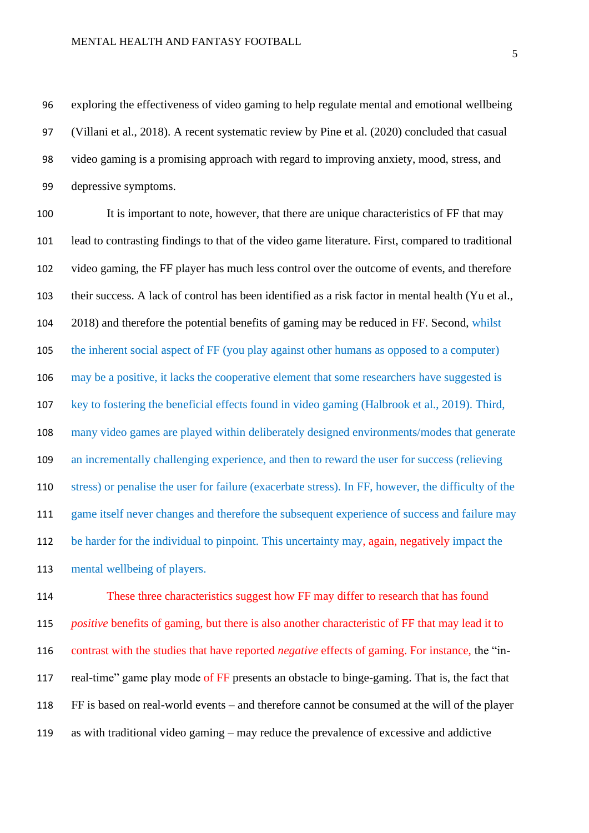exploring the effectiveness of video gaming to help regulate mental and emotional wellbeing (Villani et al., 2018). A recent systematic review by Pine et al. (2020) concluded that casual video gaming is a promising approach with regard to improving anxiety, mood, stress, and depressive symptoms.

100 It is important to note, however, that there are unique characteristics of FF that may lead to contrasting findings to that of the video game literature. First, compared to traditional video gaming, the FF player has much less control over the outcome of events, and therefore their success. A lack of control has been identified as a risk factor in mental health (Yu et al., 2018) and therefore the potential benefits of gaming may be reduced in FF. Second, whilst the inherent social aspect of FF (you play against other humans as opposed to a computer) may be a positive, it lacks the cooperative element that some researchers have suggested is key to fostering the beneficial effects found in video gaming (Halbrook et al., 2019). Third, many video games are played within deliberately designed environments/modes that generate an incrementally challenging experience, and then to reward the user for success (relieving stress) or penalise the user for failure (exacerbate stress). In FF, however, the difficulty of the game itself never changes and therefore the subsequent experience of success and failure may be harder for the individual to pinpoint. This uncertainty may, again, negatively impact the mental wellbeing of players.

 These three characteristics suggest how FF may differ to research that has found *positive* benefits of gaming, but there is also another characteristic of FF that may lead it to contrast with the studies that have reported *negative* effects of gaming. For instance, the "in-117 real-time" game play mode of FF presents an obstacle to binge-gaming. That is, the fact that FF is based on real-world events – and therefore cannot be consumed at the will of the player as with traditional video gaming – may reduce the prevalence of excessive and addictive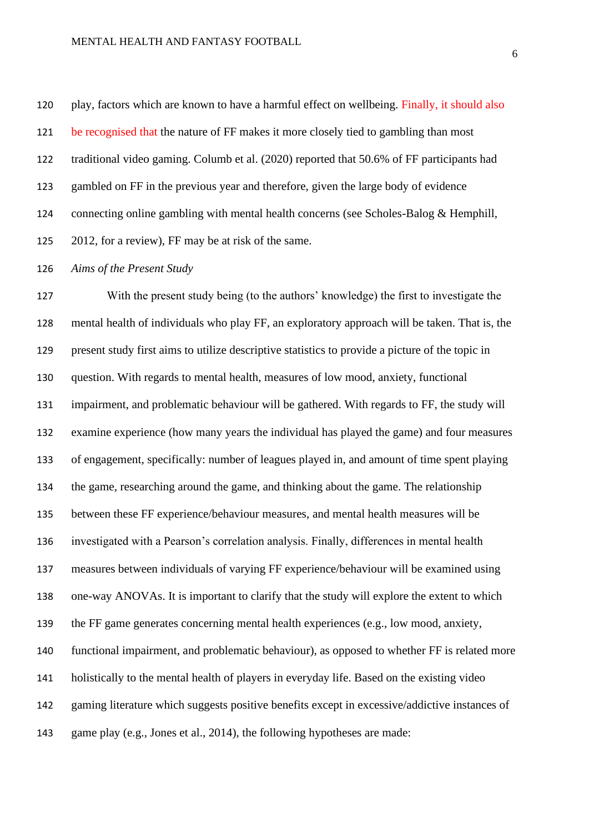play, factors which are known to have a harmful effect on wellbeing. Finally, it should also 121 be recognised that the nature of FF makes it more closely tied to gambling than most traditional video gaming. Columb et al. (2020) reported that 50.6% of FF participants had gambled on FF in the previous year and therefore, given the large body of evidence connecting online gambling with mental health concerns (see Scholes-Balog & Hemphill, 2012, for a review), FF may be at risk of the same.

#### *Aims of the Present Study*

 With the present study being (to the authors' knowledge) the first to investigate the mental health of individuals who play FF, an exploratory approach will be taken. That is, the present study first aims to utilize descriptive statistics to provide a picture of the topic in question. With regards to mental health, measures of low mood, anxiety, functional impairment, and problematic behaviour will be gathered. With regards to FF, the study will examine experience (how many years the individual has played the game) and four measures of engagement, specifically: number of leagues played in, and amount of time spent playing the game, researching around the game, and thinking about the game. The relationship between these FF experience/behaviour measures, and mental health measures will be investigated with a Pearson's correlation analysis. Finally, differences in mental health measures between individuals of varying FF experience/behaviour will be examined using one-way ANOVAs. It is important to clarify that the study will explore the extent to which the FF game generates concerning mental health experiences (e.g., low mood, anxiety, functional impairment, and problematic behaviour), as opposed to whether FF is related more holistically to the mental health of players in everyday life. Based on the existing video gaming literature which suggests positive benefits except in excessive/addictive instances of game play (e.g., Jones et al., 2014), the following hypotheses are made: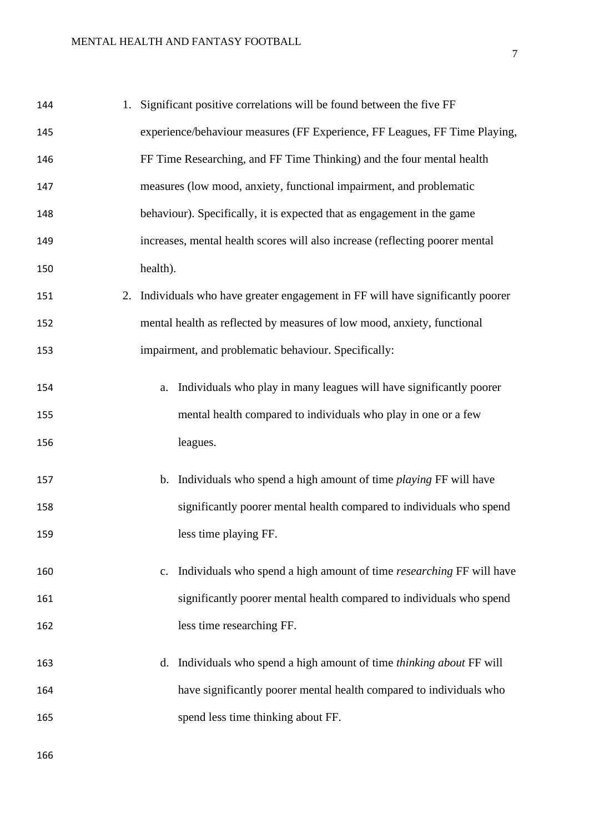| 144 | 1. Significant positive correlations will be found between the five FF          |
|-----|---------------------------------------------------------------------------------|
| 145 | experience/behaviour measures (FF Experience, FF Leagues, FF Time Playing,      |
| 146 | FF Time Researching, and FF Time Thinking) and the four mental health           |
| 147 | measures (low mood, anxiety, functional impairment, and problematic             |
| 148 | behaviour). Specifically, it is expected that as engagement in the game         |
| 149 | increases, mental health scores will also increase (reflecting poorer mental    |
| 150 | health).                                                                        |
| 151 | 2. Individuals who have greater engagement in FF will have significantly poorer |
| 152 | mental health as reflected by measures of low mood, anxiety, functional         |
| 153 | impairment, and problematic behaviour. Specifically:                            |
| 154 | a. Individuals who play in many leagues will have significantly poorer          |
| 155 | mental health compared to individuals who play in one or a few                  |
| 156 | leagues.                                                                        |
| 157 | b. Individuals who spend a high amount of time <i>playing</i> FF will have      |
| 158 | significantly poorer mental health compared to individuals who spend            |
| 159 | less time playing FF.                                                           |
| 160 | Individuals who spend a high amount of time researching FF will have<br>c.      |
| 161 | significantly poorer mental health compared to individuals who spend            |
| 162 | less time researching FF.                                                       |
| 163 | Individuals who spend a high amount of time <i>thinking about</i> FF will<br>d. |
| 164 | have significantly poorer mental health compared to individuals who             |
| 165 | spend less time thinking about FF.                                              |
|     |                                                                                 |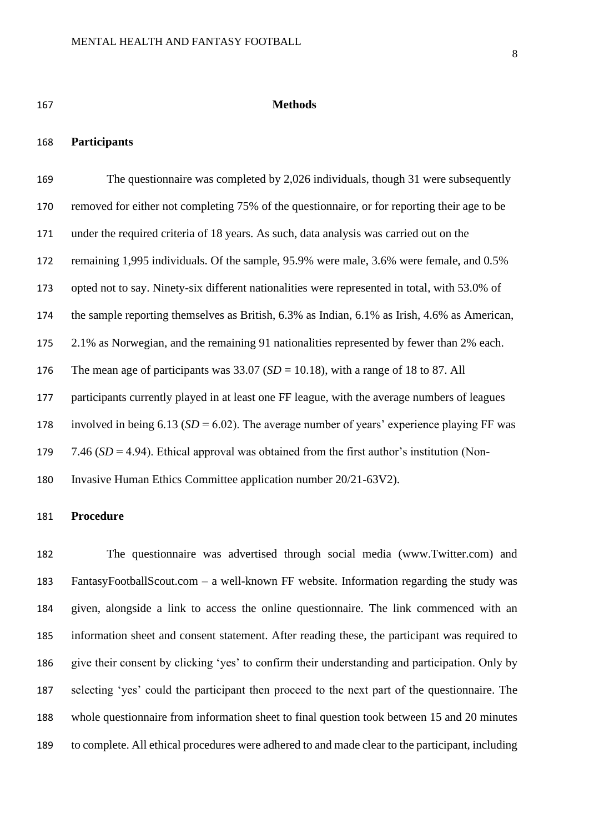#### **Methods**

#### **Participants**

169 The questionnaire was completed by 2.026 individuals, though 31 were subsequently removed for either not completing 75% of the questionnaire, or for reporting their age to be under the required criteria of 18 years. As such, data analysis was carried out on the remaining 1,995 individuals. Of the sample, 95.9% were male, 3.6% were female, and 0.5% opted not to say. Ninety-six different nationalities were represented in total, with 53.0% of the sample reporting themselves as British, 6.3% as Indian, 6.1% as Irish, 4.6% as American, 2.1% as Norwegian, and the remaining 91 nationalities represented by fewer than 2% each. The mean age of participants was 33.07 (*SD* = 10.18), with a range of 18 to 87. All participants currently played in at least one FF league, with the average numbers of leagues 178 involved in being  $6.13$  ( $SD = 6.02$ ). The average number of years' experience playing FF was 7.46 (*SD* = 4.94). Ethical approval was obtained from the first author's institution (Non-Invasive Human Ethics Committee application number 20/21-63V2).

#### **Procedure**

 The questionnaire was advertised through social media (www.Twitter.com) and FantasyFootballScout.com – a well-known FF website. Information regarding the study was given, alongside a link to access the online questionnaire. The link commenced with an information sheet and consent statement. After reading these, the participant was required to give their consent by clicking 'yes' to confirm their understanding and participation. Only by selecting 'yes' could the participant then proceed to the next part of the questionnaire. The whole questionnaire from information sheet to final question took between 15 and 20 minutes to complete. All ethical procedures were adhered to and made clear to the participant, including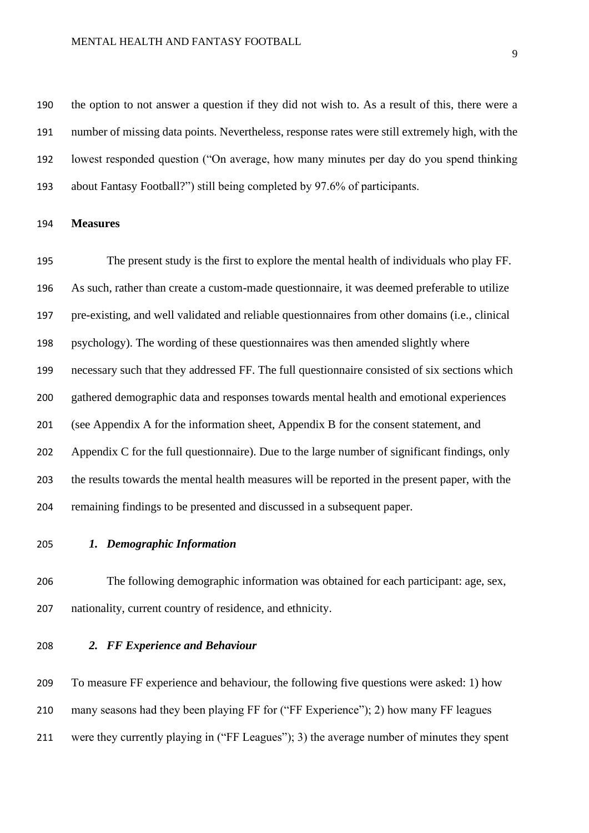#### MENTAL HEALTH AND FANTASY FOOTBALL

 the option to not answer a question if they did not wish to. As a result of this, there were a number of missing data points. Nevertheless, response rates were still extremely high, with the lowest responded question ("On average, how many minutes per day do you spend thinking about Fantasy Football?") still being completed by 97.6% of participants.

#### **Measures**

 The present study is the first to explore the mental health of individuals who play FF. As such, rather than create a custom-made questionnaire, it was deemed preferable to utilize pre-existing, and well validated and reliable questionnaires from other domains (i.e., clinical psychology). The wording of these questionnaires was then amended slightly where necessary such that they addressed FF. The full questionnaire consisted of six sections which gathered demographic data and responses towards mental health and emotional experiences (see Appendix A for the information sheet, Appendix B for the consent statement, and Appendix C for the full questionnaire). Due to the large number of significant findings, only the results towards the mental health measures will be reported in the present paper, with the remaining findings to be presented and discussed in a subsequent paper.

#### *1. Demographic Information*

 The following demographic information was obtained for each participant: age, sex, nationality, current country of residence, and ethnicity.

#### *2. FF Experience and Behaviour*

 To measure FF experience and behaviour, the following five questions were asked: 1) how many seasons had they been playing FF for ("FF Experience"); 2) how many FF leagues were they currently playing in ("FF Leagues"); 3) the average number of minutes they spent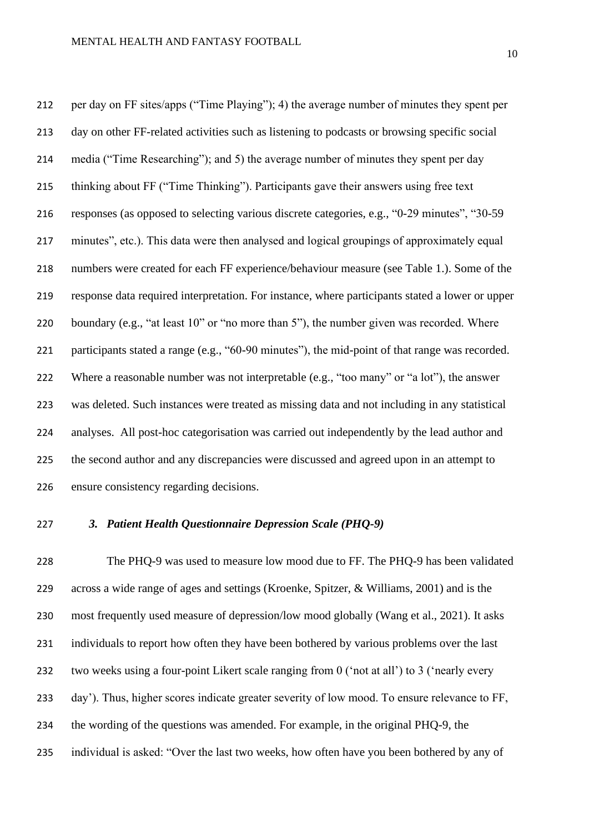per day on FF sites/apps ("Time Playing"); 4) the average number of minutes they spent per day on other FF-related activities such as listening to podcasts or browsing specific social media ("Time Researching"); and 5) the average number of minutes they spent per day thinking about FF ("Time Thinking"). Participants gave their answers using free text responses (as opposed to selecting various discrete categories, e.g., "0-29 minutes", "30-59 minutes", etc.). This data were then analysed and logical groupings of approximately equal numbers were created for each FF experience/behaviour measure (see Table 1.). Some of the response data required interpretation. For instance, where participants stated a lower or upper 220 boundary (e.g., "at least 10" or "no more than 5"), the number given was recorded. Where participants stated a range (e.g., "60-90 minutes"), the mid-point of that range was recorded. 222 Where a reasonable number was not interpretable (e.g., "too many" or "a lot"), the answer was deleted. Such instances were treated as missing data and not including in any statistical analyses. All post-hoc categorisation was carried out independently by the lead author and the second author and any discrepancies were discussed and agreed upon in an attempt to ensure consistency regarding decisions.

#### *3. Patient Health Questionnaire Depression Scale (PHQ-9)*

 The PHQ-9 was used to measure low mood due to FF. The PHQ-9 has been validated across a wide range of ages and settings (Kroenke, Spitzer, & Williams, 2001) and is the most frequently used measure of depression/low mood globally (Wang et al., 2021). It asks 231 individuals to report how often they have been bothered by various problems over the last two weeks using a four-point Likert scale ranging from 0 ('not at all') to 3 ('nearly every day'). Thus, higher scores indicate greater severity of low mood. To ensure relevance to FF, the wording of the questions was amended. For example, in the original PHQ-9, the individual is asked: "Over the last two weeks, how often have you been bothered by any of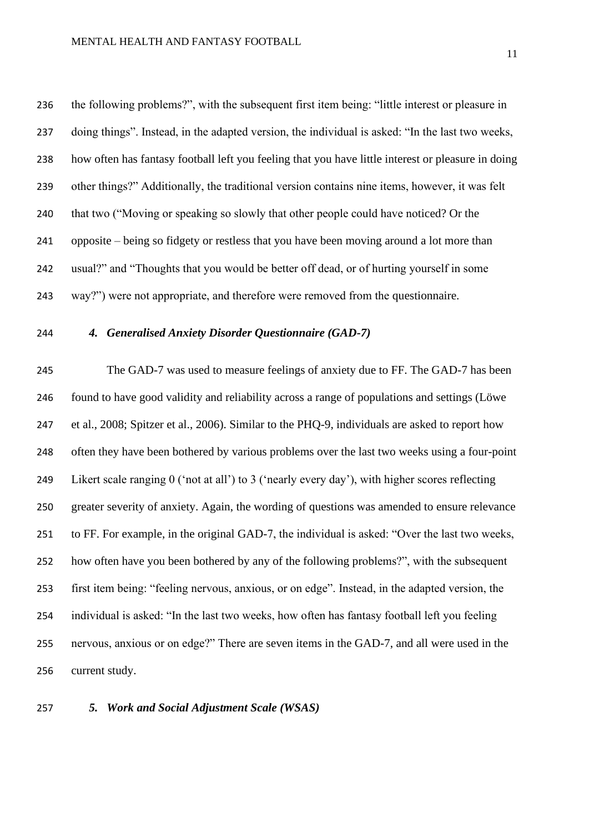the following problems?", with the subsequent first item being: "little interest or pleasure in doing things". Instead, in the adapted version, the individual is asked: "In the last two weeks, how often has fantasy football left you feeling that you have little interest or pleasure in doing other things?" Additionally, the traditional version contains nine items, however, it was felt that two ("Moving or speaking so slowly that other people could have noticed? Or the opposite – being so fidgety or restless that you have been moving around a lot more than usual?" and "Thoughts that you would be better off dead, or of hurting yourself in some way?") were not appropriate, and therefore were removed from the questionnaire.

### *4. Generalised Anxiety Disorder Questionnaire (GAD-7)*

 The GAD-7 was used to measure feelings of anxiety due to FF. The GAD-7 has been found to have good validity and reliability across a range of populations and settings (Löwe et al., 2008; Spitzer et al., 2006). Similar to the PHQ-9, individuals are asked to report how often they have been bothered by various problems over the last two weeks using a four-point Likert scale ranging 0 ('not at all') to 3 ('nearly every day'), with higher scores reflecting greater severity of anxiety. Again, the wording of questions was amended to ensure relevance to FF. For example, in the original GAD-7, the individual is asked: "Over the last two weeks, how often have you been bothered by any of the following problems?", with the subsequent first item being: "feeling nervous, anxious, or on edge". Instead, in the adapted version, the individual is asked: "In the last two weeks, how often has fantasy football left you feeling nervous, anxious or on edge?" There are seven items in the GAD-7, and all were used in the current study.

*5. Work and Social Adjustment Scale (WSAS)*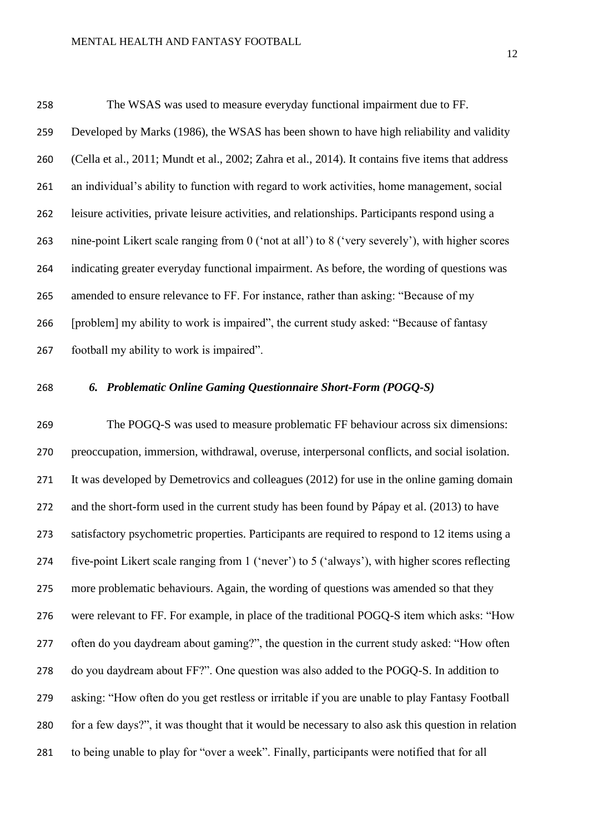The WSAS was used to measure everyday functional impairment due to FF. Developed by Marks (1986), the WSAS has been shown to have high reliability and validity (Cella et al., 2011; Mundt et al., 2002; Zahra et al., 2014). It contains five items that address an individual's ability to function with regard to work activities, home management, social leisure activities, private leisure activities, and relationships. Participants respond using a nine-point Likert scale ranging from 0 ('not at all') to 8 ('very severely'), with higher scores indicating greater everyday functional impairment. As before, the wording of questions was amended to ensure relevance to FF. For instance, rather than asking: "Because of my [problem] my ability to work is impaired", the current study asked: "Because of fantasy football my ability to work is impaired".

#### *6. Problematic Online Gaming Questionnaire Short-Form (POGQ-S)*

 The POGQ-S was used to measure problematic FF behaviour across six dimensions: preoccupation, immersion, withdrawal, overuse, interpersonal conflicts, and social isolation. It was developed by Demetrovics and colleagues (2012) for use in the online gaming domain and the short-form used in the current study has been found by Pápay et al. (2013) to have satisfactory psychometric properties. Participants are required to respond to 12 items using a five-point Likert scale ranging from 1 ('never') to 5 ('always'), with higher scores reflecting more problematic behaviours. Again, the wording of questions was amended so that they were relevant to FF. For example, in place of the traditional POGQ-S item which asks: "How often do you daydream about gaming?", the question in the current study asked: "How often do you daydream about FF?". One question was also added to the POGQ-S. In addition to asking: "How often do you get restless or irritable if you are unable to play Fantasy Football for a few days?", it was thought that it would be necessary to also ask this question in relation to being unable to play for "over a week". Finally, participants were notified that for all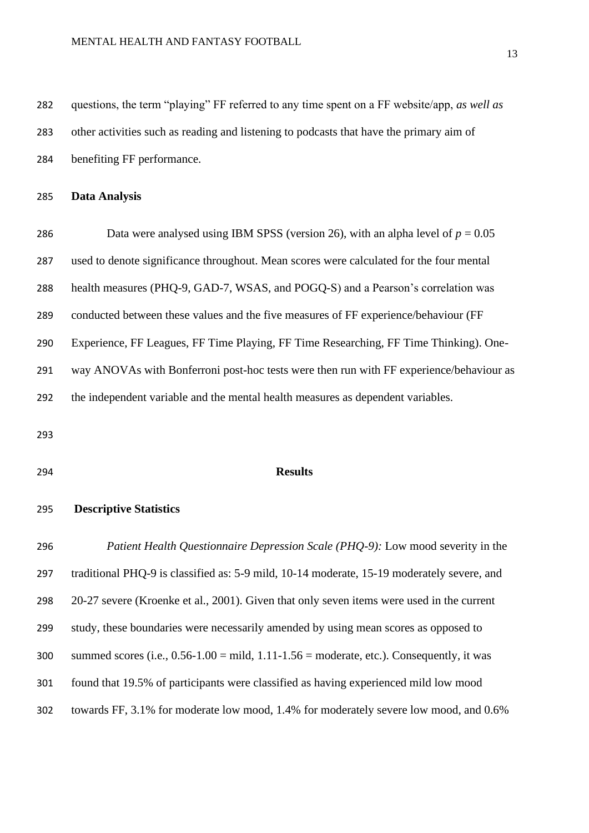questions, the term "playing" FF referred to any time spent on a FF website/app, *as well as* other activities such as reading and listening to podcasts that have the primary aim of benefiting FF performance.

#### **Data Analysis**

286 Data were analysed using IBM SPSS (version 26), with an alpha level of  $p = 0.05$  used to denote significance throughout. Mean scores were calculated for the four mental health measures (PHQ-9, GAD-7, WSAS, and POGQ-S) and a Pearson's correlation was conducted between these values and the five measures of FF experience/behaviour (FF Experience, FF Leagues, FF Time Playing, FF Time Researching, FF Time Thinking). One- way ANOVAs with Bonferroni post-hoc tests were then run with FF experience/behaviour as the independent variable and the mental health measures as dependent variables.

#### **Results**

#### **Descriptive Statistics**

 *Patient Health Questionnaire Depression Scale (PHQ-9):* Low mood severity in the traditional PHQ-9 is classified as: 5-9 mild, 10-14 moderate, 15-19 moderately severe, and 20-27 severe (Kroenke et al., 2001). Given that only seven items were used in the current study, these boundaries were necessarily amended by using mean scores as opposed to 300 summed scores (i.e.,  $0.56 - 1.00 = \text{mild}$ ,  $1.11 - 1.56 = \text{moderate}$ , etc.). Consequently, it was found that 19.5% of participants were classified as having experienced mild low mood towards FF, 3.1% for moderate low mood, 1.4% for moderately severe low mood, and 0.6%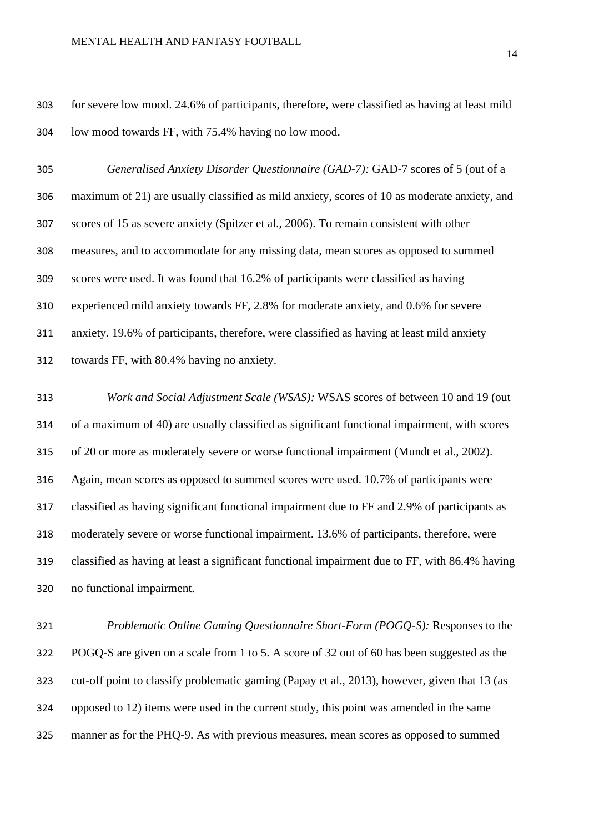#### MENTAL HEALTH AND FANTASY FOOTBALL

 for severe low mood. 24.6% of participants, therefore, were classified as having at least mild low mood towards FF, with 75.4% having no low mood.

 *Generalised Anxiety Disorder Questionnaire (GAD-7):* GAD-7 scores of 5 (out of a maximum of 21) are usually classified as mild anxiety, scores of 10 as moderate anxiety, and scores of 15 as severe anxiety (Spitzer et al., 2006). To remain consistent with other measures, and to accommodate for any missing data, mean scores as opposed to summed scores were used. It was found that 16.2% of participants were classified as having experienced mild anxiety towards FF, 2.8% for moderate anxiety, and 0.6% for severe anxiety. 19.6% of participants, therefore, were classified as having at least mild anxiety towards FF, with 80.4% having no anxiety.

 *Work and Social Adjustment Scale (WSAS):* WSAS scores of between 10 and 19 (out of a maximum of 40) are usually classified as significant functional impairment, with scores of 20 or more as moderately severe or worse functional impairment (Mundt et al., 2002). Again, mean scores as opposed to summed scores were used. 10.7% of participants were classified as having significant functional impairment due to FF and 2.9% of participants as moderately severe or worse functional impairment. 13.6% of participants, therefore, were classified as having at least a significant functional impairment due to FF, with 86.4% having no functional impairment.

 *Problematic Online Gaming Questionnaire Short-Form (POGQ-S):* Responses to the POGQ-S are given on a scale from 1 to 5. A score of 32 out of 60 has been suggested as the cut-off point to classify problematic gaming (Papay et al., 2013), however, given that 13 (as opposed to 12) items were used in the current study, this point was amended in the same manner as for the PHQ-9. As with previous measures, mean scores as opposed to summed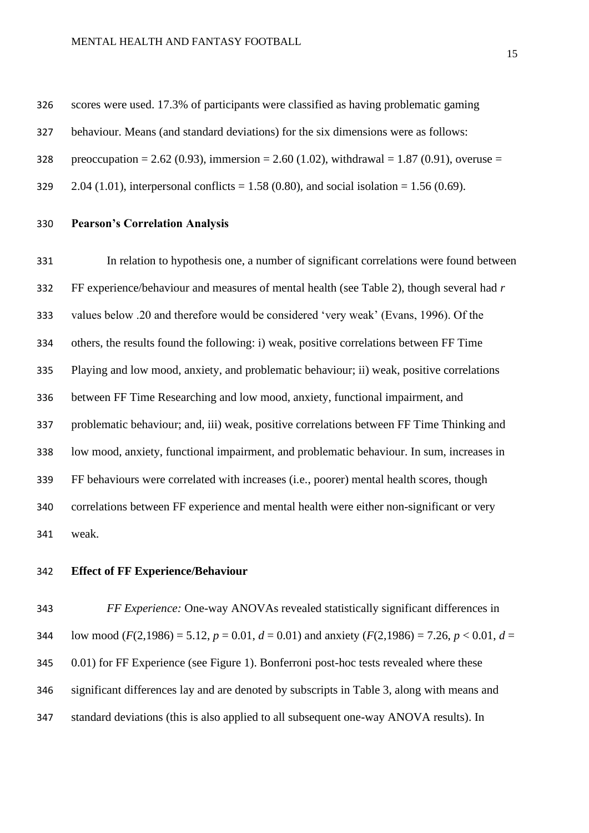#### MENTAL HEALTH AND FANTASY FOOTBALL

scores were used. 17.3% of participants were classified as having problematic gaming

- behaviour. Means (and standard deviations) for the six dimensions were as follows:
- 328 preoccupation = 2.62 (0.93), immersion = 2.60 (1.02), withdrawal = 1.87 (0.91), overuse =
- 329 2.04 (1.01), interpersonal conflicts = 1.58 (0.80), and social isolation = 1.56 (0.69).
- **Pearson's Correlation Analysis**

 In relation to hypothesis one, a number of significant correlations were found between FF experience/behaviour and measures of mental health (see Table 2), though several had *r*  values below .20 and therefore would be considered 'very weak' (Evans, 1996). Of the others, the results found the following: i) weak, positive correlations between FF Time Playing and low mood, anxiety, and problematic behaviour; ii) weak, positive correlations between FF Time Researching and low mood, anxiety, functional impairment, and problematic behaviour; and, iii) weak, positive correlations between FF Time Thinking and low mood, anxiety, functional impairment, and problematic behaviour. In sum, increases in FF behaviours were correlated with increases (i.e., poorer) mental health scores, though correlations between FF experience and mental health were either non-significant or very weak.

#### **Effect of FF Experience/Behaviour**

 *FF Experience:* One-way ANOVAs revealed statistically significant differences in 344 low mood ( $F(2,1986) = 5.12$ ,  $p = 0.01$ ,  $d = 0.01$ ) and anxiety ( $F(2,1986) = 7.26$ ,  $p < 0.01$ ,  $d =$  0.01) for FF Experience (see Figure 1). Bonferroni post-hoc tests revealed where these significant differences lay and are denoted by subscripts in Table 3, along with means and standard deviations (this is also applied to all subsequent one-way ANOVA results). In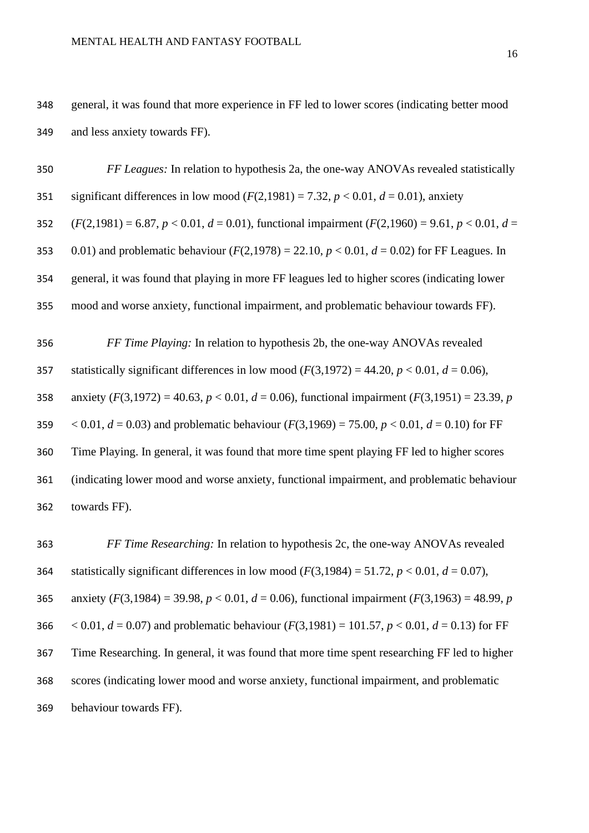general, it was found that more experience in FF led to lower scores (indicating better mood and less anxiety towards FF).

| 350 | FF Leagues: In relation to hypothesis 2a, the one-way ANOVAs revealed statistically                        |
|-----|------------------------------------------------------------------------------------------------------------|
| 351 | significant differences in low mood $(F(2,1981) = 7.32, p < 0.01, d = 0.01)$ , anxiety                     |
| 352 | $(F(2, 1981) = 6.87, p < 0.01, d = 0.01)$ , functional impairment $(F(2, 1960) = 9.61, p < 0.01, d =$      |
| 353 | 0.01) and problematic behaviour ( $F(2,1978) = 22.10$ , $p < 0.01$ , $d = 0.02$ ) for FF Leagues. In       |
| 354 | general, it was found that playing in more FF leagues led to higher scores (indicating lower               |
| 355 | mood and worse anxiety, functional impairment, and problematic behaviour towards FF).                      |
|     |                                                                                                            |
| 356 | FF Time Playing: In relation to hypothesis 2b, the one-way ANOVAs revealed                                 |
| 357 | statistically significant differences in low mood $(F(3,1972) = 44.20, p < 0.01, d = 0.06)$ ,              |
| 358 | anxiety ( $F(3,1972) = 40.63$ , $p < 0.01$ , $d = 0.06$ ), functional impairment ( $F(3,1951) = 23.39$ , p |
| 359 | < 0.01, $d = 0.03$ ) and problematic behaviour ( $F(3,1969) = 75.00$ , $p < 0.01$ , $d = 0.10$ ) for FF    |
| 360 | Time Playing. In general, it was found that more time spent playing FF led to higher scores                |
| 361 | (indicating lower mood and worse anxiety, functional impairment, and problematic behaviour                 |
| 362 | towards FF).                                                                                               |

 *FF Time Researching:* In relation to hypothesis 2c, the one-way ANOVAs revealed 364 statistically significant differences in low mood  $(F(3,1984) = 51.72, p < 0.01, d = 0.07)$ , 365 anxiety  $(F(3,1984) = 39.98, p < 0.01, d = 0.06)$ , functional impairment  $(F(3,1963) = 48.99, p$  $\leq$  0.01, *d* = 0.07) and problematic behaviour (*F*(3,1981) = 101.57, *p* < 0.01, *d* = 0.13) for FF Time Researching. In general, it was found that more time spent researching FF led to higher scores (indicating lower mood and worse anxiety, functional impairment, and problematic behaviour towards FF).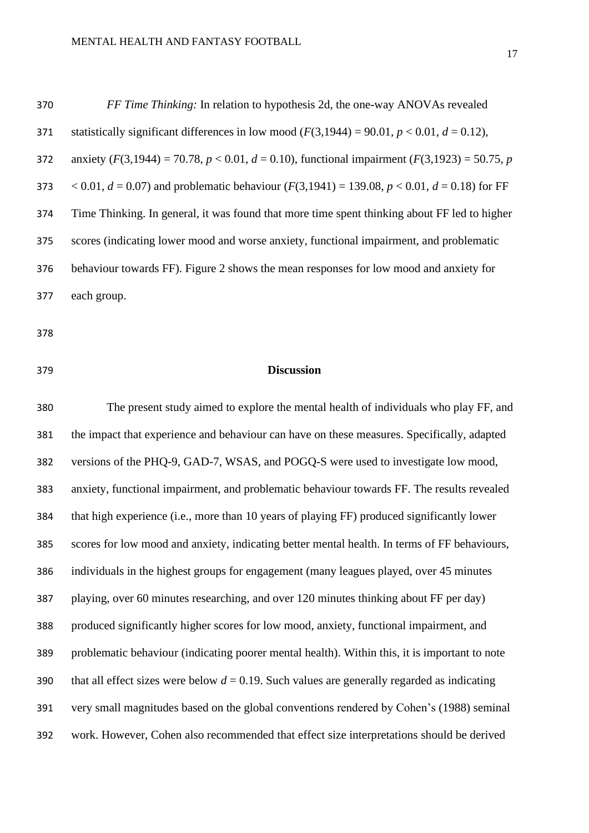| 370 | <i>FF Time Thinking:</i> In relation to hypothesis 2d, the one-way ANOVAs revealed                         |
|-----|------------------------------------------------------------------------------------------------------------|
| 371 | statistically significant differences in low mood $(F(3,1944) = 90.01, p < 0.01, d = 0.12)$ ,              |
| 372 | anxiety ( $F(3,1944) = 70.78$ , $p < 0.01$ , $d = 0.10$ ), functional impairment ( $F(3,1923) = 50.75$ , p |
| 373 | $(6.001, d = 0.07)$ and problematic behaviour $(F(3, 1941) = 139.08, p < 0.01, d = 0.18)$ for FF           |
| 374 | Time Thinking. In general, it was found that more time spent thinking about FF led to higher               |
| 375 | scores (indicating lower mood and worse anxiety, functional impairment, and problematic                    |
| 376 | behaviour towards FF). Figure 2 shows the mean responses for low mood and anxiety for                      |
| 377 | each group.                                                                                                |

#### **Discussion**

 The present study aimed to explore the mental health of individuals who play FF, and the impact that experience and behaviour can have on these measures. Specifically, adapted versions of the PHQ-9, GAD-7, WSAS, and POGQ-S were used to investigate low mood, anxiety, functional impairment, and problematic behaviour towards FF. The results revealed that high experience (i.e., more than 10 years of playing FF) produced significantly lower scores for low mood and anxiety, indicating better mental health. In terms of FF behaviours, individuals in the highest groups for engagement (many leagues played, over 45 minutes playing, over 60 minutes researching, and over 120 minutes thinking about FF per day) produced significantly higher scores for low mood, anxiety, functional impairment, and problematic behaviour (indicating poorer mental health). Within this, it is important to note 390 that all effect sizes were below  $d = 0.19$ . Such values are generally regarded as indicating very small magnitudes based on the global conventions rendered by Cohen's (1988) seminal work. However, Cohen also recommended that effect size interpretations should be derived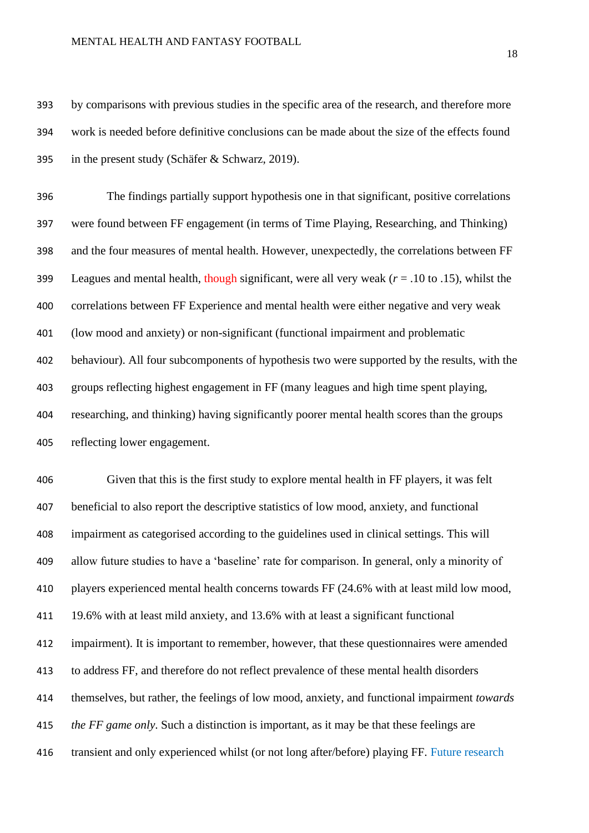#### MENTAL HEALTH AND FANTASY FOOTBALL

 by comparisons with previous studies in the specific area of the research, and therefore more work is needed before definitive conclusions can be made about the size of the effects found in the present study (Schäfer & Schwarz, 2019).

 The findings partially support hypothesis one in that significant, positive correlations were found between FF engagement (in terms of Time Playing, Researching, and Thinking) and the four measures of mental health. However, unexpectedly, the correlations between FF Leagues and mental health, though significant, were all very weak (*r* = .10 to .15), whilst the correlations between FF Experience and mental health were either negative and very weak (low mood and anxiety) or non-significant (functional impairment and problematic behaviour). All four subcomponents of hypothesis two were supported by the results, with the groups reflecting highest engagement in FF (many leagues and high time spent playing, researching, and thinking) having significantly poorer mental health scores than the groups reflecting lower engagement.

 Given that this is the first study to explore mental health in FF players, it was felt beneficial to also report the descriptive statistics of low mood, anxiety, and functional impairment as categorised according to the guidelines used in clinical settings. This will allow future studies to have a 'baseline' rate for comparison. In general, only a minority of players experienced mental health concerns towards FF (24.6% with at least mild low mood, 19.6% with at least mild anxiety, and 13.6% with at least a significant functional impairment). It is important to remember, however, that these questionnaires were amended to address FF, and therefore do not reflect prevalence of these mental health disorders themselves, but rather, the feelings of low mood, anxiety, and functional impairment *towards the FF game only*. Such a distinction is important, as it may be that these feelings are transient and only experienced whilst (or not long after/before) playing FF. Future research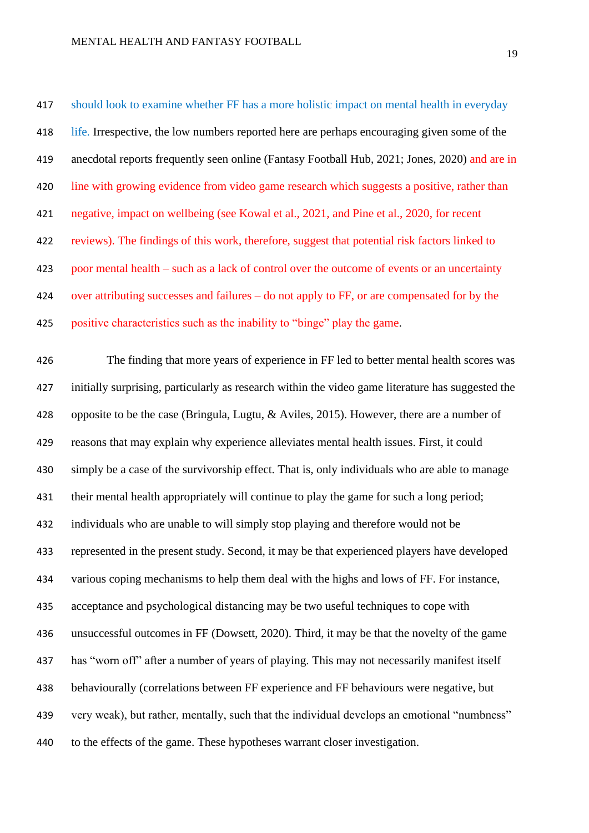should look to examine whether FF has a more holistic impact on mental health in everyday life. Irrespective, the low numbers reported here are perhaps encouraging given some of the anecdotal reports frequently seen online (Fantasy Football Hub, 2021; Jones, 2020) and are in 420 line with growing evidence from video game research which suggests a positive, rather than negative, impact on wellbeing (see Kowal et al., 2021, and Pine et al., 2020, for recent reviews). The findings of this work, therefore, suggest that potential risk factors linked to poor mental health – such as a lack of control over the outcome of events or an uncertainty over attributing successes and failures – do not apply to FF, or are compensated for by the positive characteristics such as the inability to "binge" play the game.

 The finding that more years of experience in FF led to better mental health scores was initially surprising, particularly as research within the video game literature has suggested the opposite to be the case (Bringula, Lugtu, & Aviles, 2015). However, there are a number of reasons that may explain why experience alleviates mental health issues. First, it could simply be a case of the survivorship effect. That is, only individuals who are able to manage 431 their mental health appropriately will continue to play the game for such a long period; individuals who are unable to will simply stop playing and therefore would not be represented in the present study. Second, it may be that experienced players have developed various coping mechanisms to help them deal with the highs and lows of FF. For instance, acceptance and psychological distancing may be two useful techniques to cope with unsuccessful outcomes in FF (Dowsett, 2020). Third, it may be that the novelty of the game has "worn off" after a number of years of playing. This may not necessarily manifest itself behaviourally (correlations between FF experience and FF behaviours were negative, but very weak), but rather, mentally, such that the individual develops an emotional "numbness" to the effects of the game. These hypotheses warrant closer investigation.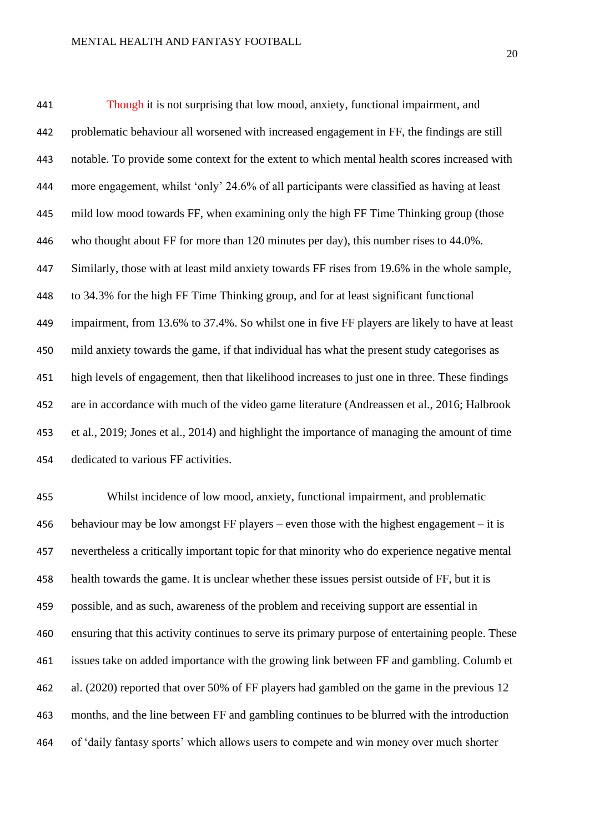Though it is not surprising that low mood, anxiety, functional impairment, and problematic behaviour all worsened with increased engagement in FF, the findings are still notable. To provide some context for the extent to which mental health scores increased with more engagement, whilst 'only' 24.6% of all participants were classified as having at least mild low mood towards FF, when examining only the high FF Time Thinking group (those who thought about FF for more than 120 minutes per day), this number rises to 44.0%. Similarly, those with at least mild anxiety towards FF rises from 19.6% in the whole sample, to 34.3% for the high FF Time Thinking group, and for at least significant functional impairment, from 13.6% to 37.4%. So whilst one in five FF players are likely to have at least mild anxiety towards the game, if that individual has what the present study categorises as high levels of engagement, then that likelihood increases to just one in three. These findings are in accordance with much of the video game literature (Andreassen et al., 2016; Halbrook et al., 2019; Jones et al., 2014) and highlight the importance of managing the amount of time dedicated to various FF activities.

 Whilst incidence of low mood, anxiety, functional impairment, and problematic behaviour may be low amongst FF players – even those with the highest engagement – it is nevertheless a critically important topic for that minority who do experience negative mental health towards the game. It is unclear whether these issues persist outside of FF, but it is possible, and as such, awareness of the problem and receiving support are essential in ensuring that this activity continues to serve its primary purpose of entertaining people. These issues take on added importance with the growing link between FF and gambling. Columb et al. (2020) reported that over 50% of FF players had gambled on the game in the previous 12 months, and the line between FF and gambling continues to be blurred with the introduction of 'daily fantasy sports' which allows users to compete and win money over much shorter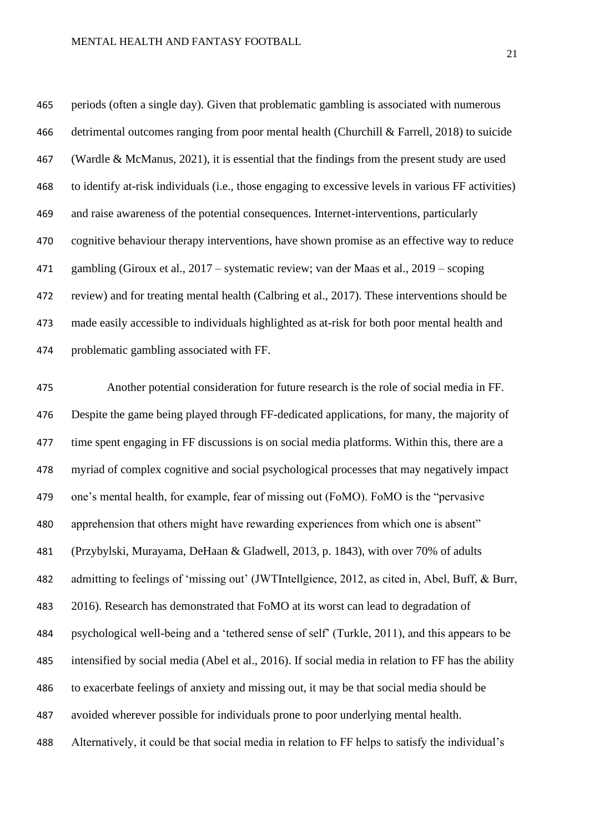periods (often a single day). Given that problematic gambling is associated with numerous detrimental outcomes ranging from poor mental health (Churchill & Farrell, 2018) to suicide (Wardle & McManus, 2021), it is essential that the findings from the present study are used to identify at-risk individuals (i.e., those engaging to excessive levels in various FF activities) and raise awareness of the potential consequences. Internet-interventions, particularly cognitive behaviour therapy interventions, have shown promise as an effective way to reduce gambling (Giroux et al., 2017 – systematic review; van der Maas et al., 2019 – scoping review) and for treating mental health (Calbring et al., 2017). These interventions should be made easily accessible to individuals highlighted as at-risk for both poor mental health and problematic gambling associated with FF.

 Another potential consideration for future research is the role of social media in FF. Despite the game being played through FF-dedicated applications, for many, the majority of time spent engaging in FF discussions is on social media platforms. Within this, there are a myriad of complex cognitive and social psychological processes that may negatively impact one's mental health, for example, fear of missing out (FoMO). FoMO is the "pervasive apprehension that others might have rewarding experiences from which one is absent" (Przybylski, Murayama, DeHaan & Gladwell, 2013, p. 1843), with over 70% of adults admitting to feelings of 'missing out' (JWTIntellgience, 2012, as cited in, Abel, Buff, & Burr, 2016). Research has demonstrated that FoMO at its worst can lead to degradation of psychological well-being and a 'tethered sense of self' (Turkle, 2011), and this appears to be intensified by social media (Abel et al., 2016). If social media in relation to FF has the ability to exacerbate feelings of anxiety and missing out, it may be that social media should be avoided wherever possible for individuals prone to poor underlying mental health. Alternatively, it could be that social media in relation to FF helps to satisfy the individual's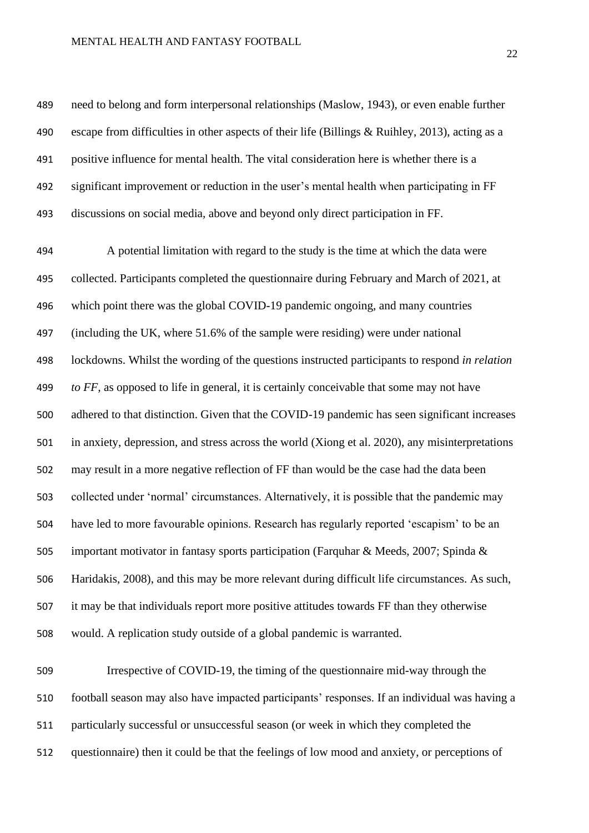#### MENTAL HEALTH AND FANTASY FOOTBALL

 need to belong and form interpersonal relationships (Maslow, 1943), or even enable further escape from difficulties in other aspects of their life (Billings & Ruihley, 2013), acting as a positive influence for mental health. The vital consideration here is whether there is a significant improvement or reduction in the user's mental health when participating in FF discussions on social media, above and beyond only direct participation in FF.

 A potential limitation with regard to the study is the time at which the data were collected. Participants completed the questionnaire during February and March of 2021, at which point there was the global COVID-19 pandemic ongoing, and many countries (including the UK, where 51.6% of the sample were residing) were under national lockdowns. Whilst the wording of the questions instructed participants to respond *in relation to FF,* as opposed to life in general, it is certainly conceivable that some may not have adhered to that distinction. Given that the COVID-19 pandemic has seen significant increases in anxiety, depression, and stress across the world (Xiong et al. 2020), any misinterpretations may result in a more negative reflection of FF than would be the case had the data been collected under 'normal' circumstances. Alternatively, it is possible that the pandemic may have led to more favourable opinions. Research has regularly reported 'escapism' to be an important motivator in fantasy sports participation (Farquhar & Meeds, 2007; Spinda & Haridakis, 2008), and this may be more relevant during difficult life circumstances. As such, it may be that individuals report more positive attitudes towards FF than they otherwise would. A replication study outside of a global pandemic is warranted.

 Irrespective of COVID-19, the timing of the questionnaire mid-way through the football season may also have impacted participants' responses. If an individual was having a particularly successful or unsuccessful season (or week in which they completed the questionnaire) then it could be that the feelings of low mood and anxiety, or perceptions of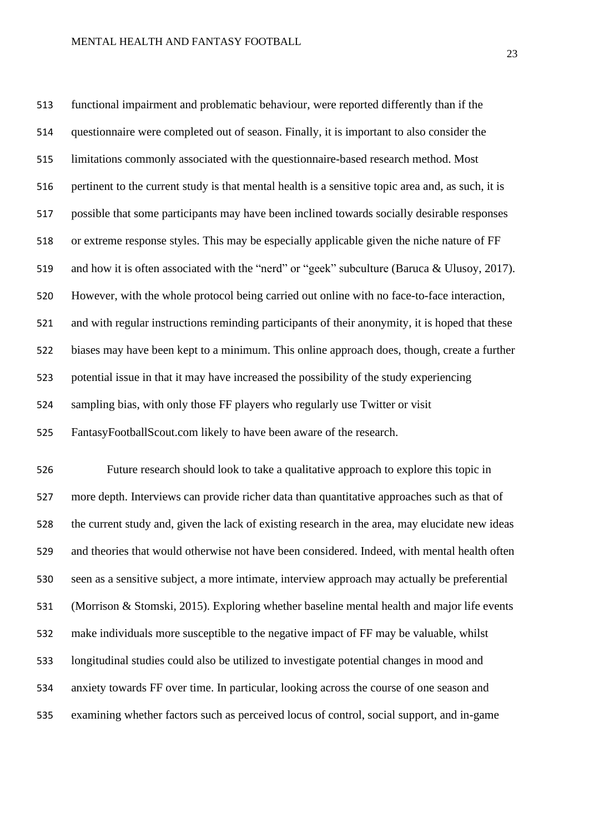functional impairment and problematic behaviour, were reported differently than if the questionnaire were completed out of season. Finally, it is important to also consider the limitations commonly associated with the questionnaire-based research method. Most pertinent to the current study is that mental health is a sensitive topic area and, as such, it is possible that some participants may have been inclined towards socially desirable responses or extreme response styles. This may be especially applicable given the niche nature of FF and how it is often associated with the "nerd" or "geek" subculture (Baruca & Ulusoy, 2017). However, with the whole protocol being carried out online with no face-to-face interaction, and with regular instructions reminding participants of their anonymity, it is hoped that these biases may have been kept to a minimum. This online approach does, though, create a further potential issue in that it may have increased the possibility of the study experiencing sampling bias, with only those FF players who regularly use Twitter or visit FantasyFootballScout.com likely to have been aware of the research.

 Future research should look to take a qualitative approach to explore this topic in more depth. Interviews can provide richer data than quantitative approaches such as that of the current study and, given the lack of existing research in the area, may elucidate new ideas and theories that would otherwise not have been considered. Indeed, with mental health often seen as a sensitive subject, a more intimate, interview approach may actually be preferential (Morrison & Stomski, 2015). Exploring whether baseline mental health and major life events make individuals more susceptible to the negative impact of FF may be valuable, whilst longitudinal studies could also be utilized to investigate potential changes in mood and anxiety towards FF over time. In particular, looking across the course of one season and examining whether factors such as perceived locus of control, social support, and in-game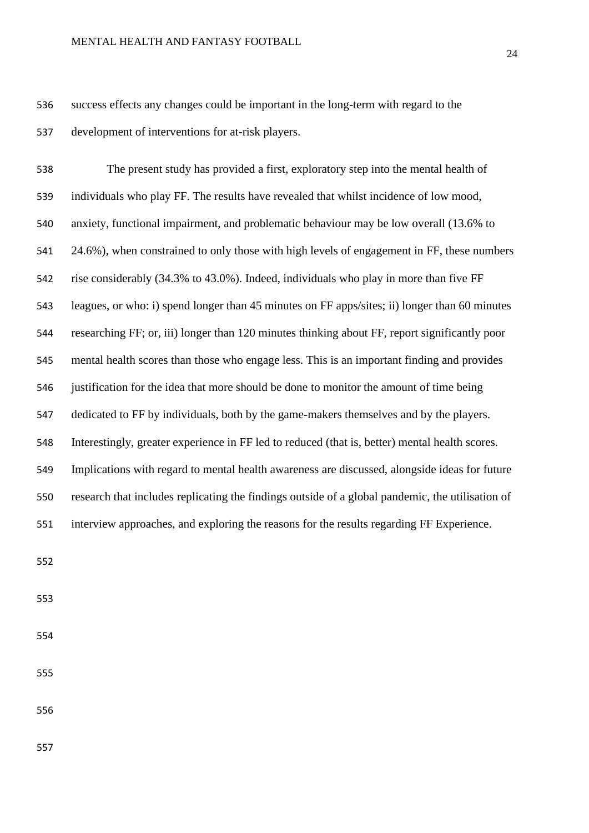#### MENTAL HEALTH AND FANTASY FOOTBALL

 success effects any changes could be important in the long-term with regard to the development of interventions for at-risk players.

 The present study has provided a first, exploratory step into the mental health of individuals who play FF. The results have revealed that whilst incidence of low mood, anxiety, functional impairment, and problematic behaviour may be low overall (13.6% to 24.6%), when constrained to only those with high levels of engagement in FF, these numbers rise considerably (34.3% to 43.0%). Indeed, individuals who play in more than five FF leagues, or who: i) spend longer than 45 minutes on FF apps/sites; ii) longer than 60 minutes researching FF; or, iii) longer than 120 minutes thinking about FF, report significantly poor mental health scores than those who engage less. This is an important finding and provides justification for the idea that more should be done to monitor the amount of time being dedicated to FF by individuals, both by the game-makers themselves and by the players. Interestingly, greater experience in FF led to reduced (that is, better) mental health scores. Implications with regard to mental health awareness are discussed, alongside ideas for future research that includes replicating the findings outside of a global pandemic, the utilisation of interview approaches, and exploring the reasons for the results regarding FF Experience.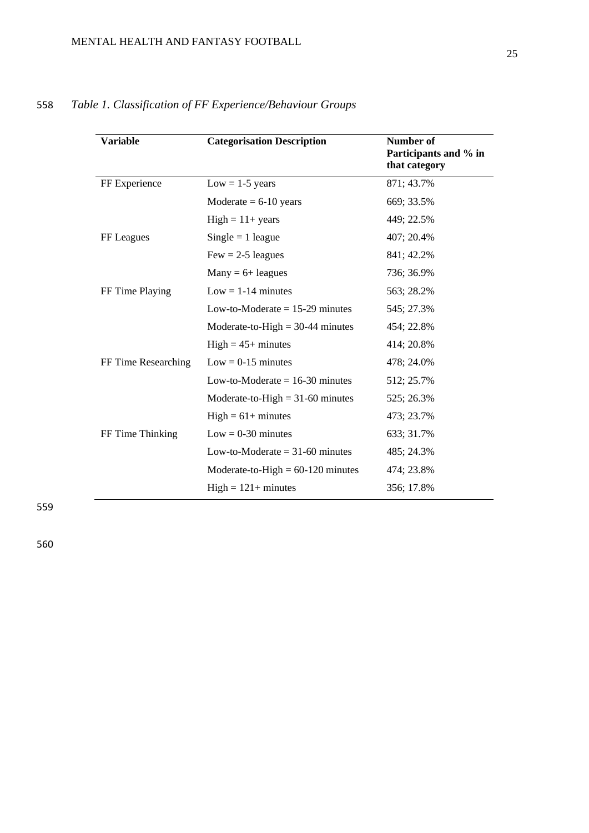| Variable            | <b>Categorisation Description</b>   | Number of<br>Participants and % in<br>that category |
|---------------------|-------------------------------------|-----------------------------------------------------|
| FF Experience       | $Low = 1-5$ years                   | 871; 43.7%                                          |
|                     | Moderate $= 6-10$ years             | 669; 33.5%                                          |
|                     | $High = 11 + years$                 | 449; 22.5%                                          |
| FF Leagues          | $Single = 1$ league                 | 407; 20.4%                                          |
|                     | $Few = 2-5$ leagues                 | 841; 42.2%                                          |
|                     | $Many = 6 + legues$                 | 736; 36.9%                                          |
| FF Time Playing     | $Low = 1-14$ minutes                | 563; 28.2%                                          |
|                     | Low-to-Moderate $= 15-29$ minutes   | 545; 27.3%                                          |
|                     | Moderate-to-High $=$ 30-44 minutes  | 454; 22.8%                                          |
|                     | $High = 45+ minutes$                | 414; 20.8%                                          |
| FF Time Researching | $Low = 0-15$ minutes                | 478; 24.0%                                          |
|                     | Low-to-Moderate $= 16-30$ minutes   | 512; 25.7%                                          |
|                     | Moderate-to-High $= 31-60$ minutes  | 525; 26.3%                                          |
|                     | $High = 61 + minutes$               | 473; 23.7%                                          |
| FF Time Thinking    | $Low = 0-30$ minutes                | 633; 31.7%                                          |
|                     | Low-to-Moderate $=$ 31-60 minutes   | 485; 24.3%                                          |
|                     | Moderate-to-High $= 60-120$ minutes | 474; 23.8%                                          |
|                     | $High = 121 + minutes$              | 356; 17.8%                                          |

# 558 *Table 1. Classification of FF Experience/Behaviour Groups*

559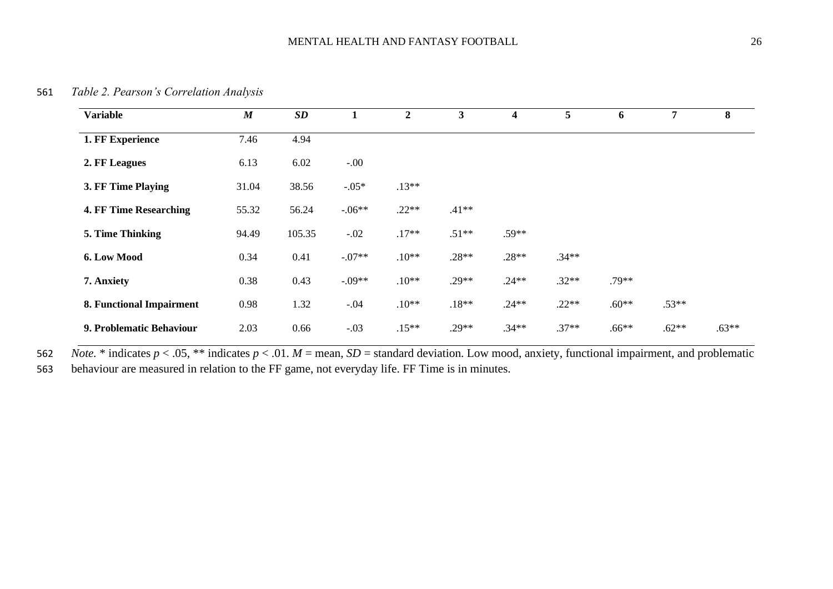561 *Table 2. Pearson's Correlation Analysis*

| <b>Variable</b>          | $\boldsymbol{M}$ | <b>SD</b> |          | $\overline{2}$ | 3       | 4       | 5       | 6       | $\overline{7}$ | 8       |
|--------------------------|------------------|-----------|----------|----------------|---------|---------|---------|---------|----------------|---------|
| 1. FF Experience         | 7.46             | 4.94      |          |                |         |         |         |         |                |         |
| 2. FF Leagues            | 6.13             | 6.02      | $-.00$   |                |         |         |         |         |                |         |
| 3. FF Time Playing       | 31.04            | 38.56     | $-0.05*$ | $.13**$        |         |         |         |         |                |         |
| 4. FF Time Researching   | 55.32            | 56.24     | $-.06**$ | $.22**$        | $.41**$ |         |         |         |                |         |
| 5. Time Thinking         | 94.49            | 105.35    | $-.02$   | $.17**$        | $.51**$ | $.59**$ |         |         |                |         |
| 6. Low Mood              | 0.34             | 0.41      | $-.07**$ | $.10**$        | $.28**$ | $.28**$ | $.34**$ |         |                |         |
| 7. Anxiety               | 0.38             | 0.43      | $-.09**$ | $.10**$        | $.29**$ | $.24**$ | $.32**$ | $.79**$ |                |         |
| 8. Functional Impairment | 0.98             | 1.32      | $-.04$   | $.10**$        | $.18**$ | $.24**$ | $.22**$ | $.60**$ | $.53**$        |         |
| 9. Problematic Behaviour | 2.03             | 0.66      | $-.03$   | $.15**$        | $.29**$ | $.34**$ | $.37**$ | $.66**$ | $.62**$        | $.63**$ |

562 *Note.* \* indicates  $p < .05$ , \*\* indicates  $p < .01$ .  $M =$  mean,  $SD =$  standard deviation. Low mood, anxiety, functional impairment, and problematic

563 behaviour are measured in relation to the FF game, not everyday life. FF Time is in minutes.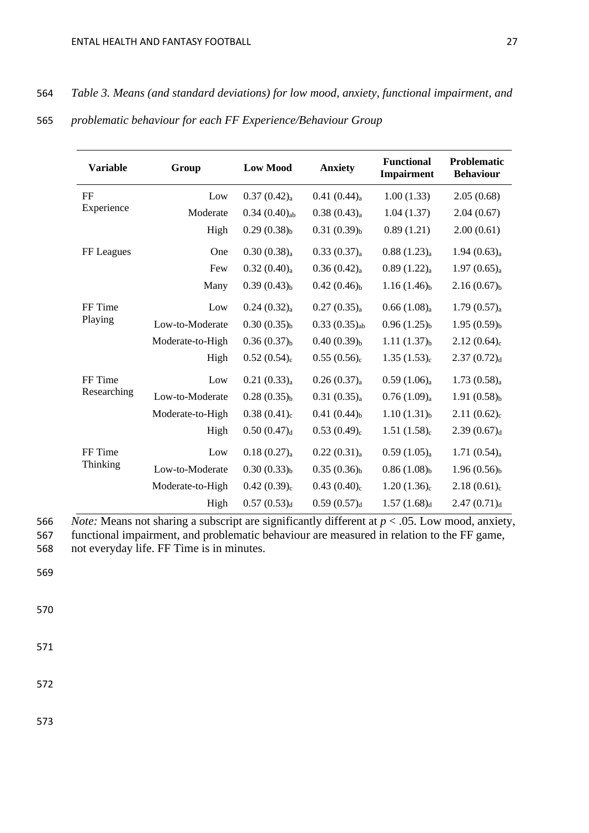# 564 *Table 3. Means (and standard deviations) for low mood, anxiety, functional impairment, and*

| 565 |  | problematic behaviour for each FF Experience/Behaviour Group |  |  |  |  |
|-----|--|--------------------------------------------------------------|--|--|--|--|
|-----|--|--------------------------------------------------------------|--|--|--|--|

| <b>Variable</b> | Group            | <b>Low Mood</b>         | <b>Anxiety</b>          | <b>Functional</b><br>Impairment | <b>Problematic</b><br><b>Behaviour</b> |
|-----------------|------------------|-------------------------|-------------------------|---------------------------------|----------------------------------------|
| FF              | Low              | $0.37(0.42)_{a}$        | $0.41(0.44)_{a}$        | 1.00(1.33)                      | 2.05(0.68)                             |
| Experience      | Moderate         | $0.34(0.40)_{ab}$       | $0.38(0.43)_{a}$        | 1.04(1.37)                      | 2.04(0.67)                             |
|                 | High             | $0.29(0.38)_{b}$        | $0.31(0.39)_{b}$        | 0.89(1.21)                      | 2.00(0.61)                             |
| FF Leagues      | One              | $0.30(0.38)_{a}$        | 0.33(0.37) <sub>a</sub> | 0.88(1.23) <sub>a</sub>         | 1.94(0.63) <sub>a</sub>                |
|                 | Few              | $0.32(0.40)_{a}$        | 0.36(0.42) <sub>a</sub> | 0.89(1.22) <sub>a</sub>         | 1.97(0.65) <sub>a</sub>                |
|                 | Many             | $0.39(0.43)_{b}$        | $0.42(0.46)_{b}$        | $1.16(1.46)_{b}$                | $2.16(0.67)_{b}$                       |
| FF Time         | Low              | 0.24(0.32) <sub>a</sub> | 0.27(0.35) <sub>a</sub> | 0.66(1.08) <sub>a</sub>         | 1.79(0.57) <sub>a</sub>                |
| Playing         | Low-to-Moderate  | $0.30(0.35)_{b}$        | $0.33(0.35)_{ab}$       | $0.96(1.25)_{b}$                | $1.95(0.59)_{b}$                       |
|                 | Moderate-to-High | $0.36(0.37)_{b}$        | $0.40(0.39)_{b}$        | 1.11(1.37) <sub>b</sub>         | $2.12(0.64)_{c}$                       |
|                 | High             | $0.52(0.54)_{c}$        | $0.55(0.56)_{c}$        | 1.35(1.53) <sub>c</sub>         | 2.37(0.72) <sub>d</sub>                |
| FF Time         | Low              | 0.21(0.33) <sub>a</sub> | 0.26(0.37) <sub>a</sub> | $0.59(1.06)_{a}$                | $1.73(0.58)_{a}$                       |
| Researching     | Low-to-Moderate  | $0.28(0.35)_{b}$        | 0.31(0.35) <sub>a</sub> | 0.76(1.09) <sub>a</sub>         | $1.91(0.58)_{b}$                       |
|                 | Moderate-to-High | $0.38(0.41)_{c}$        | $0.41(0.44)_{b}$        | $1.10(1.31)_{b}$                | $2.11(0.62)_{c}$                       |
|                 | High             | 0.50(0.47) <sub>d</sub> | $0.53(0.49)_{c}$        | $1.51(1.58)_{c}$                | 2.39(0.67) <sub>d</sub>                |
| FF Time         | Low              | $0.18(0.27)_{a}$        | 0.22(0.31) <sub>a</sub> | $0.59(1.05)_{a}$                | $1.71(0.54)_{a}$                       |
| <b>Thinking</b> | Low-to-Moderate  | $0.30(0.33)_{b}$        | $0.35(0.36)_{b}$        | $0.86(1.08)_{b}$                | $1.96(0.56)_{b}$                       |
|                 | Moderate-to-High | $0.42(0.39)_{c}$        | $0.43(0.40)_{c}$        | $1.20(1.36)_{c}$                | $2.18(0.61)_{c}$                       |
|                 | High             | 0.57(0.53) <sub>d</sub> | 0.59(0.57) <sub>d</sub> | 1.57(1.68) <sub>d</sub>         | 2.47(0.71) <sub>d</sub>                |

<sup>566</sup> *Note:* Means not sharing a subscript are significantly different at *p* < .05. Low mood, anxiety, 567 functional impairment, and problematic behaviour are measured in relation to the FF game, 568 not everyday life. FF Time is in minutes.

569

570

571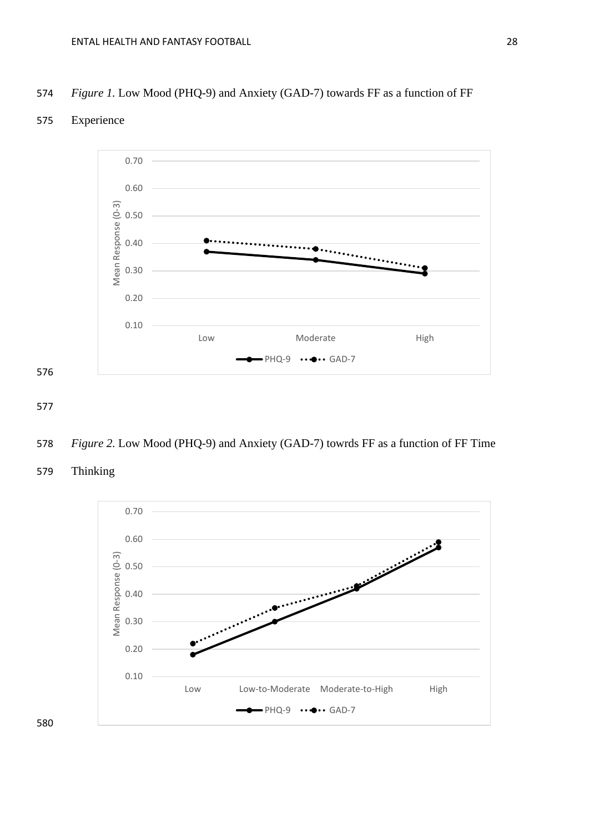#### 574 *Figure 1.* Low Mood (PHQ-9) and Anxiety (GAD-7) towards FF as a function of FF

## 575 Experience



- 577
- 578 *Figure 2.* Low Mood (PHQ-9) and Anxiety (GAD-7) towrds FF as a function of FF Time
- 579 Thinking

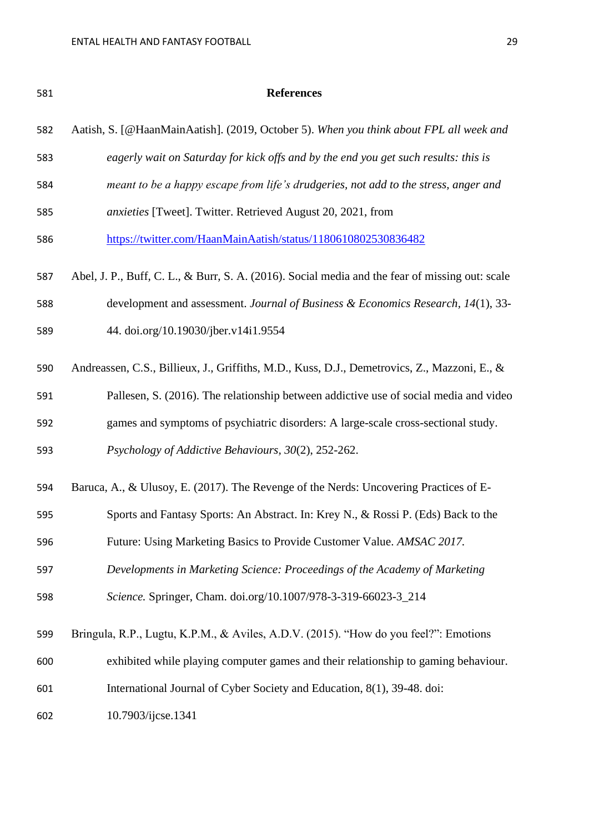| 581 | <b>References</b>                                                                               |
|-----|-------------------------------------------------------------------------------------------------|
| 582 | Aatish, S. [@HaanMainAatish]. (2019, October 5). When you think about FPL all week and          |
| 583 | eagerly wait on Saturday for kick offs and by the end you get such results: this is             |
| 584 | meant to be a happy escape from life's drudgeries, not add to the stress, anger and             |
| 585 | anxieties [Tweet]. Twitter. Retrieved August 20, 2021, from                                     |
| 586 | https://twitter.com/HaanMainAatish/status/1180610802530836482                                   |
| 587 | Abel, J. P., Buff, C. L., & Burr, S. A. (2016). Social media and the fear of missing out: scale |
| 588 | development and assessment. Journal of Business & Economics Research, 14(1), 33-                |
| 589 | 44. doi.org/10.19030/jber.v14i1.9554                                                            |
| 590 | Andreassen, C.S., Billieux, J., Griffiths, M.D., Kuss, D.J., Demetrovics, Z., Mazzoni, E., &    |
| 591 | Pallesen, S. (2016). The relationship between addictive use of social media and video           |
| 592 | games and symptoms of psychiatric disorders: A large-scale cross-sectional study.               |
| 593 | Psychology of Addictive Behaviours, 30(2), 252-262.                                             |
| 594 | Baruca, A., & Ulusoy, E. (2017). The Revenge of the Nerds: Uncovering Practices of E-           |
| 595 | Sports and Fantasy Sports: An Abstract. In: Krey N., & Rossi P. (Eds) Back to the               |
| 596 | Future: Using Marketing Basics to Provide Customer Value. AMSAC 2017.                           |
| 597 | Developments in Marketing Science: Proceedings of the Academy of Marketing                      |
| 598 | Science. Springer, Cham. doi.org/10.1007/978-3-319-66023-3_214                                  |
| 599 | Bringula, R.P., Lugtu, K.P.M., & Aviles, A.D.V. (2015). "How do you feel?": Emotions            |
| 600 | exhibited while playing computer games and their relationship to gaming behaviour.              |
| 601 | International Journal of Cyber Society and Education, 8(1), 39-48. doi:                         |
| 602 | 10.7903/ijcse.1341                                                                              |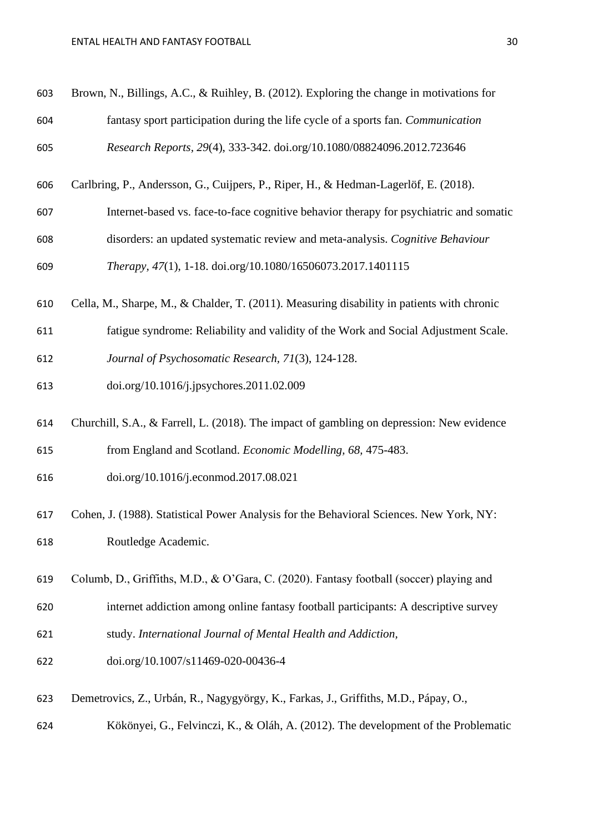#### ENTAL HEALTH AND FANTASY FOOTBALL **30**

| 603 | Brown, N., Billings, A.C., & Ruihley, B. (2012). Exploring the change in motivations for   |
|-----|--------------------------------------------------------------------------------------------|
| 604 | fantasy sport participation during the life cycle of a sports fan. Communication           |
| 605 | Research Reports, 29(4), 333-342. doi.org/10.1080/08824096.2012.723646                     |
| 606 | Carlbring, P., Andersson, G., Cuijpers, P., Riper, H., & Hedman-Lagerlöf, E. (2018).       |
| 607 | Internet-based vs. face-to-face cognitive behavior therapy for psychiatric and somatic     |
| 608 | disorders: an updated systematic review and meta-analysis. Cognitive Behaviour             |
| 609 | Therapy, 47(1), 1-18. doi.org/10.1080/16506073.2017.1401115                                |
| 610 | Cella, M., Sharpe, M., & Chalder, T. (2011). Measuring disability in patients with chronic |
| 611 | fatigue syndrome: Reliability and validity of the Work and Social Adjustment Scale.        |
| 612 | Journal of Psychosomatic Research, 71(3), 124-128.                                         |
| 613 | doi.org/10.1016/j.jpsychores.2011.02.009                                                   |
| 614 | Churchill, S.A., & Farrell, L. (2018). The impact of gambling on depression: New evidence  |
| 615 | from England and Scotland. Economic Modelling, 68, 475-483.                                |
| 616 | doi.org/10.1016/j.econmod.2017.08.021                                                      |
| 617 | Cohen, J. (1988). Statistical Power Analysis for the Behavioral Sciences. New York, NY:    |
| 618 | Routledge Academic.                                                                        |
| 619 | Columb, D., Griffiths, M.D., & O'Gara, C. (2020). Fantasy football (soccer) playing and    |
| 620 | internet addiction among online fantasy football participants: A descriptive survey        |
| 621 | study. International Journal of Mental Health and Addiction,                               |
| 622 | doi.org/10.1007/s11469-020-00436-4                                                         |
| 623 | Demetrovics, Z., Urbán, R., Nagygyörgy, K., Farkas, J., Griffiths, M.D., Pápay, O.,        |
| 624 | Kökönyei, G., Felvinczi, K., & Oláh, A. (2012). The development of the Problematic         |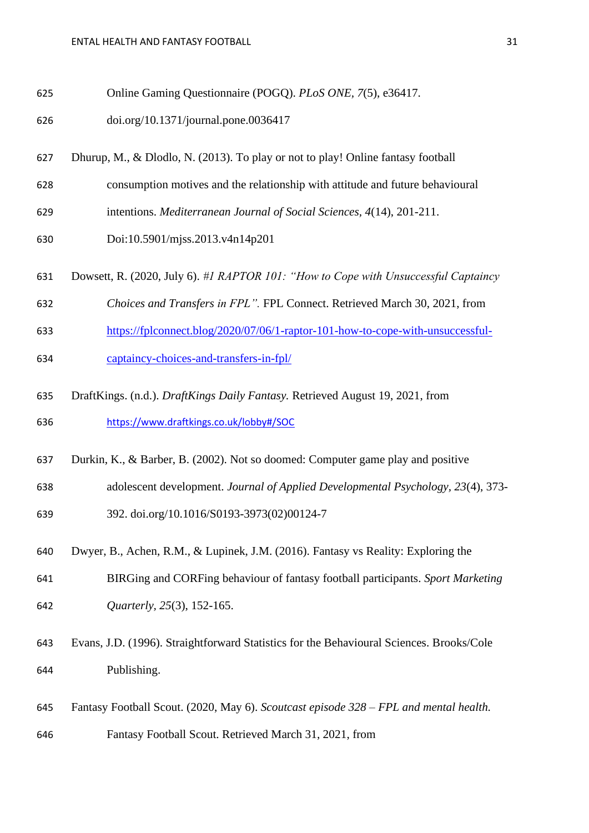- Online Gaming Questionnaire (POGQ). *PLoS ONE, 7*(5), e36417.
- doi.org/10.1371/journal.pone.0036417
- Dhurup, M., & Dlodlo, N. (2013). To play or not to play! Online fantasy football
- consumption motives and the relationship with attitude and future behavioural
- intentions. *Mediterranean Journal of Social Sciences, 4*(14), 201-211.
- Doi:10.5901/mjss.2013.v4n14p201
- Dowsett, R. (2020, July 6). *#1 RAPTOR 101: "How to Cope with Unsuccessful Captaincy*
- *Choices and Transfers in FPL".* FPL Connect. Retrieved March 30, 2021, from
- [https://fplconnect.blog/2020/07/06/1-raptor-101-how-to-cope-with-unsuccessful-](https://fplconnect.blog/2020/07/06/1-raptor-101-how-to-cope-with-unsuccessful-captaincy-choices-and-transfers-in-fpl/)
- [captaincy-choices-and-transfers-in-fpl/](https://fplconnect.blog/2020/07/06/1-raptor-101-how-to-cope-with-unsuccessful-captaincy-choices-and-transfers-in-fpl/)
- DraftKings. (n.d.). *DraftKings Daily Fantasy.* Retrieved August 19, 2021, from <https://www.draftkings.co.uk/lobby#/SOC>
- Durkin, K., & Barber, B. (2002). Not so doomed: Computer game play and positive
- adolescent development. *Journal of Applied Developmental Psychology, 23*(4), 373-
- 392. doi.org/10.1016/S0193-3973(02)00124-7
- Dwyer, B., Achen, R.M., & Lupinek, J.M. (2016). Fantasy vs Reality: Exploring the
- BIRGing and CORFing behaviour of fantasy football participants. *Sport Marketing Quarterly, 25*(3), 152-165.
- Evans, J.D. (1996). Straightforward Statistics for the Behavioural Sciences. Brooks/Cole Publishing.
- Fantasy Football Scout. (2020, May 6). *Scoutcast episode 328 – FPL and mental health.*
- Fantasy Football Scout. Retrieved March 31, 2021, from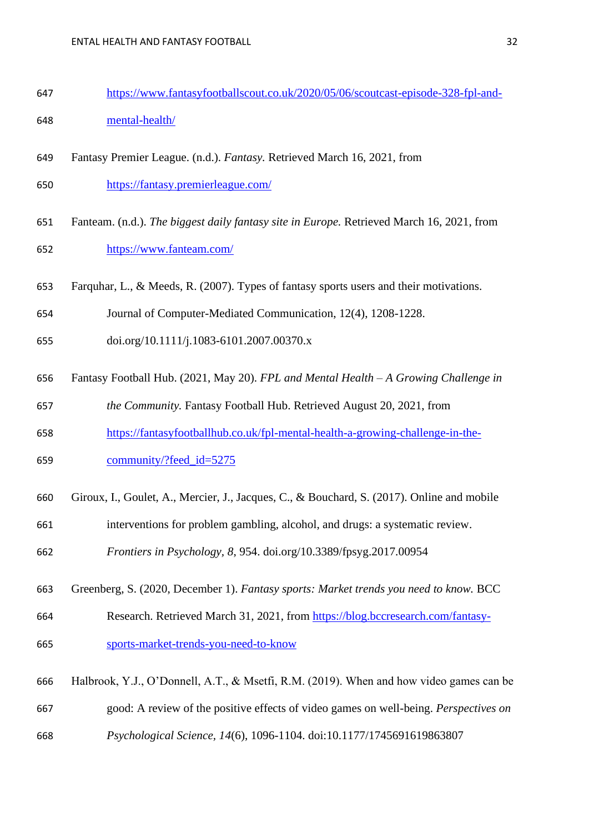- [https://www.fantasyfootballscout.co.uk/2020/05/06/scoutcast-episode-328-fpl-and-](https://www.fantasyfootballscout.co.uk/2020/05/06/scoutcast-episode-328-fpl-and-mental-health/)[mental-health/](https://www.fantasyfootballscout.co.uk/2020/05/06/scoutcast-episode-328-fpl-and-mental-health/)
- Fantasy Premier League. (n.d.). *Fantasy.* Retrieved March 16, 2021, from
- <https://fantasy.premierleague.com/>
- Fanteam. (n.d.). *The biggest daily fantasy site in Europe.* Retrieved March 16, 2021, from <https://www.fanteam.com/>
- Farquhar, L., & Meeds, R. (2007). Types of fantasy sports users and their motivations.
- Journal of Computer-Mediated Communication, 12(4), 1208-1228.
- doi.org/10.1111/j.1083-6101.2007.00370.x
- Fantasy Football Hub. (2021, May 20). *FPL and Mental Health – A Growing Challenge in*
- *the Community.* Fantasy Football Hub. Retrieved August 20, 2021, from
- [https://fantasyfootballhub.co.uk/fpl-mental-health-a-growing-challenge-in-the-](https://fantasyfootballhub.co.uk/fpl-mental-health-a-growing-challenge-in-the-community/?feed_id=5275)
- [community/?feed\\_id=5275](https://fantasyfootballhub.co.uk/fpl-mental-health-a-growing-challenge-in-the-community/?feed_id=5275)
- Giroux, I., Goulet, A., Mercier, J., Jacques, C., & Bouchard, S. (2017). Online and mobile
- interventions for problem gambling, alcohol, and drugs: a systematic review.

*Frontiers in Psychology, 8*, 954. doi.org/10.3389/fpsyg.2017.00954

- Greenberg, S. (2020, December 1). *Fantasy sports: Market trends you need to know.* BCC
- Research. Retrieved March 31, 2021, from [https://blog.bccresearch.com/fantasy-](https://blog.bccresearch.com/fantasy-sports-market-trends-you-need-to-know)[sports-market-trends-you-need-to-know](https://blog.bccresearch.com/fantasy-sports-market-trends-you-need-to-know)
- Halbrook, Y.J., O'Donnell, A.T., & Msetfi, R.M. (2019). When and how video games can be good: A review of the positive effects of video games on well-being. *Perspectives on Psychological Science, 14*(6), 1096-1104. doi:10.1177/1745691619863807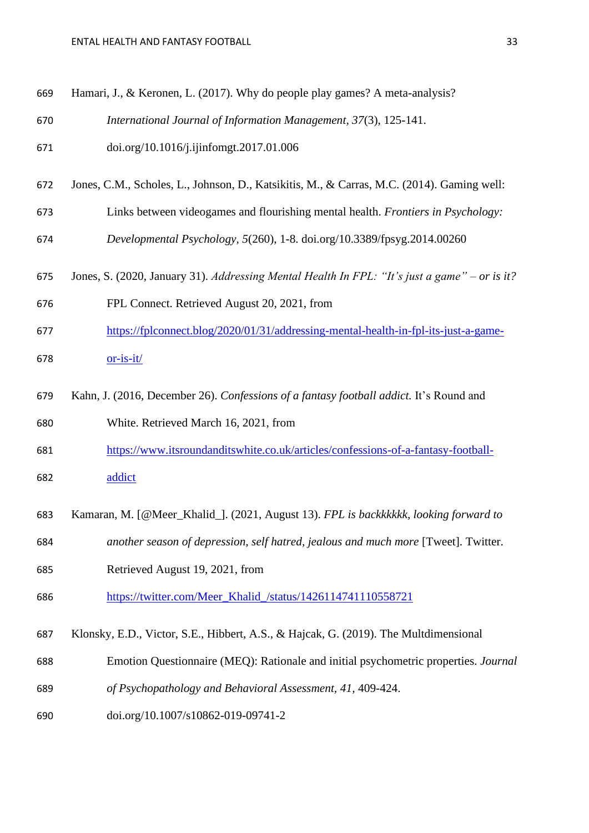| 669 | Hamari, J., & Keronen, L. (2017). Why do people play games? A meta-analysis?                  |
|-----|-----------------------------------------------------------------------------------------------|
| 670 | International Journal of Information Management, 37(3), 125-141.                              |
| 671 | doi.org/10.1016/j.ijinfomgt.2017.01.006                                                       |
| 672 | Jones, C.M., Scholes, L., Johnson, D., Katsikitis, M., & Carras, M.C. (2014). Gaming well:    |
| 673 | Links between videogames and flourishing mental health. Frontiers in Psychology:              |
| 674 | Developmental Psychology, 5(260), 1-8. doi.org/10.3389/fpsyg.2014.00260                       |
| 675 | Jones, S. (2020, January 31). Addressing Mental Health In FPL: "It's just a game" – or is it? |
| 676 | FPL Connect. Retrieved August 20, 2021, from                                                  |
| 677 | https://fplconnect.blog/2020/01/31/addressing-mental-health-in-fpl-its-just-a-game-           |
| 678 | $or-is-it/$                                                                                   |
| 679 | Kahn, J. (2016, December 26). Confessions of a fantasy football addict. It's Round and        |
| 680 | White. Retrieved March 16, 2021, from                                                         |
| 681 | https://www.itsroundanditswhite.co.uk/articles/confessions-of-a-fantasy-football-             |
| 682 | addict                                                                                        |
| 683 | Kamaran, M. [@Meer_Khalid_]. (2021, August 13). FPL is backkkkkk, looking forward to          |
| 684 | another season of depression, self hatred, jealous and much more [Tweet]. Twitter.            |
| 685 | Retrieved August 19, 2021, from                                                               |
| 686 | https://twitter.com/Meer_Khalid_/status/1426114741110558721                                   |
| 687 | Klonsky, E.D., Victor, S.E., Hibbert, A.S., & Hajcak, G. (2019). The Multdimensional          |
| 688 | Emotion Questionnaire (MEQ): Rationale and initial psychometric properties. Journal           |
| 689 | of Psychopathology and Behavioral Assessment, 41, 409-424.                                    |
| 690 | doi.org/10.1007/s10862-019-09741-2                                                            |
|     |                                                                                               |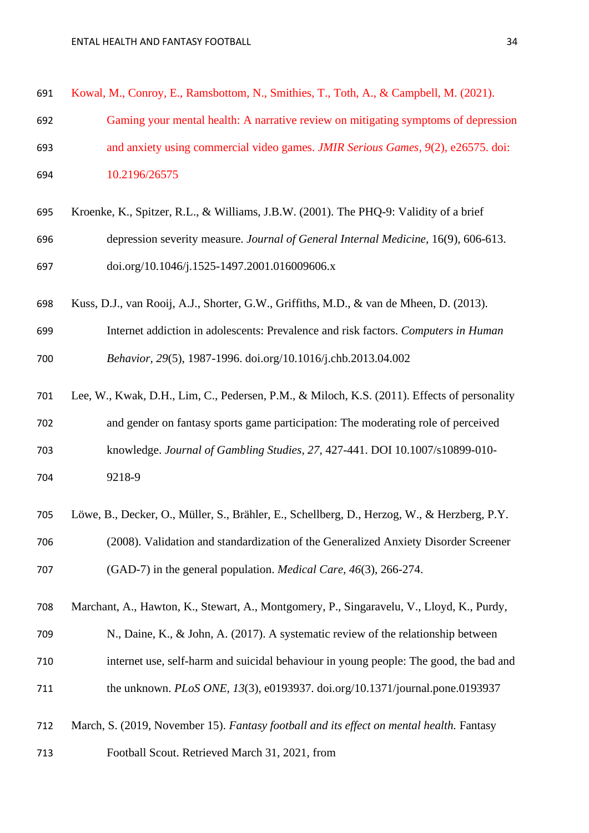| 691 | Kowal, M., Conroy, E., Ramsbottom, N., Smithies, T., Toth, A., & Campbell, M. (2021).    |
|-----|------------------------------------------------------------------------------------------|
| 692 | Gaming your mental health: A narrative review on mitigating symptoms of depression       |
| 693 | and anxiety using commercial video games. <i>JMIR Serious Games</i> , 9(2), e26575. doi: |
| 694 | 10.2196/26575                                                                            |

- Kroenke, K., Spitzer, R.L., & Williams, J.B.W. (2001). The PHQ-9: Validity of a brief depression severity measure. *Journal of General Internal Medicine,* 16(9), 606-613. doi.org/10.1046/j.1525-1497.2001.016009606.x
- Kuss, D.J., van Rooij, A.J., Shorter, G.W., Griffiths, M.D., & van de Mheen, D. (2013).
- Internet addiction in adolescents: Prevalence and risk factors. *Computers in Human Behavior, 29*(5), 1987-1996. doi.org/10.1016/j.chb.2013.04.002
- Lee, W., Kwak, D.H., Lim, C., Pedersen, P.M., & Miloch, K.S. (2011). Effects of personality and gender on fantasy sports game participation: The moderating role of perceived knowledge. *Journal of Gambling Studies, 27,* 427-441. DOI 10.1007/s10899-010- 9218-9
- Löwe, B., Decker, O., Müller, S., Brähler, E., Schellberg, D., Herzog, W., & Herzberg, P.Y. (2008). Validation and standardization of the Generalized Anxiety Disorder Screener (GAD-7) in the general population. *Medical Care, 46*(3), 266-274.
- Marchant, A., Hawton, K., Stewart, A., Montgomery, P., Singaravelu, V., Lloyd, K., Purdy,
- N., Daine, K., & John, A. (2017). A systematic review of the relationship between internet use, self-harm and suicidal behaviour in young people: The good, the bad and the unknown. *PLoS ONE, 13*(3), e0193937. doi.org/10.1371/journal.pone.0193937
- March, S. (2019, November 15). *Fantasy football and its effect on mental health.* Fantasy
- Football Scout. Retrieved March 31, 2021, from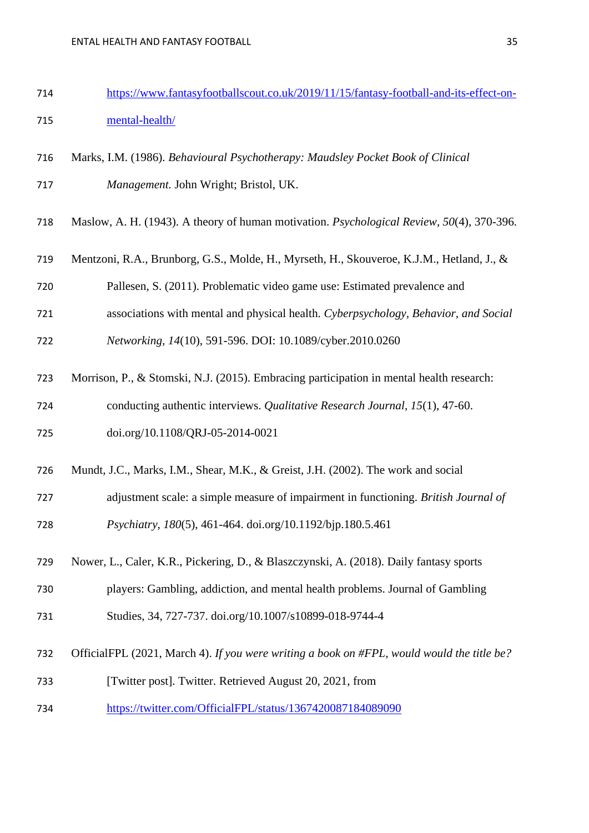- [https://www.fantasyfootballscout.co.uk/2019/11/15/fantasy-football-and-its-effect-on-](https://www.fantasyfootballscout.co.uk/2019/11/15/fantasy-football-and-its-effect-on-mental-health/)[mental-health/](https://www.fantasyfootballscout.co.uk/2019/11/15/fantasy-football-and-its-effect-on-mental-health/)
- Marks, I.M. (1986). *Behavioural Psychotherapy: Maudsley Pocket Book of Clinical Management.* John Wright; Bristol, UK.
- Maslow, A. H. (1943). A theory of human motivation. *Psychological Review, 50*(4), 370-396.
- Mentzoni, R.A., Brunborg, G.S., Molde, H., Myrseth, H., Skouveroe, K.J.M., Hetland, J., &
- Pallesen, S. (2011). Problematic video game use: Estimated prevalence and
- associations with mental and physical health. *Cyberpsychology, Behavior, and Social*
- *Networking, 14*(10), 591-596. DOI: 10.1089/cyber.2010.0260
- Morrison, P., & Stomski, N.J. (2015). Embracing participation in mental health research: conducting authentic interviews. *Qualitative Research Journal, 15*(1), 47-60.
- doi.org/10.1108/QRJ-05-2014-0021
- Mundt, J.C., Marks, I.M., Shear, M.K., & Greist, J.H. (2002). The work and social
- adjustment scale: a simple measure of impairment in functioning. *British Journal of*
- *Psychiatry, 180*(5), 461-464. doi.org/10.1192/bjp.180.5.461
- Nower, L., Caler, K.R., Pickering, D., & Blaszczynski, A. (2018). Daily fantasy sports
- players: Gambling, addiction, and mental health problems. Journal of Gambling
- Studies, 34, 727-737. doi.org/10.1007/s10899-018-9744-4
- OfficialFPL (2021, March 4). *If you were writing a book on #FPL, would would the title be?*
- [Twitter post]. Twitter. Retrieved August 20, 2021, from
- <https://twitter.com/OfficialFPL/status/1367420087184089090>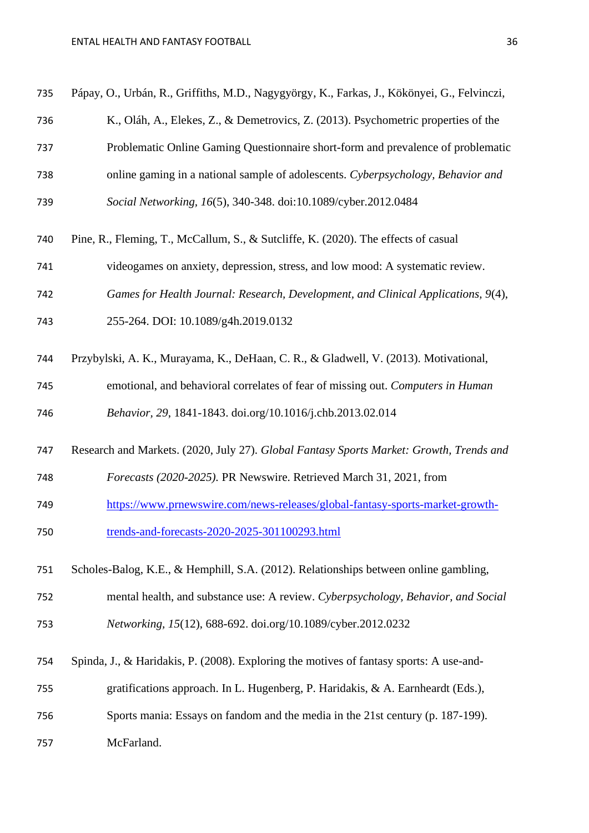| 735 | Pápay, O., Urbán, R., Griffiths, M.D., Nagygyörgy, K., Farkas, J., Kökönyei, G., Felvinczi, |
|-----|---------------------------------------------------------------------------------------------|
| 736 | K., Oláh, A., Elekes, Z., & Demetrovics, Z. (2013). Psychometric properties of the          |
| 737 | Problematic Online Gaming Questionnaire short-form and prevalence of problematic            |
| 738 | online gaming in a national sample of adolescents. Cyberpsychology, Behavior and            |
| 739 | Social Networking, 16(5), 340-348. doi:10.1089/cyber.2012.0484                              |
| 740 | Pine, R., Fleming, T., McCallum, S., & Sutcliffe, K. (2020). The effects of casual          |
| 741 | videogames on anxiety, depression, stress, and low mood: A systematic review.               |
| 742 | Games for Health Journal: Research, Development, and Clinical Applications, 9(4),           |
| 743 | 255-264. DOI: 10.1089/g4h.2019.0132                                                         |
| 744 | Przybylski, A. K., Murayama, K., DeHaan, C. R., & Gladwell, V. (2013). Motivational,        |
| 745 | emotional, and behavioral correlates of fear of missing out. Computers in Human             |
| 746 | Behavior, 29, 1841-1843. doi.org/10.1016/j.chb.2013.02.014                                  |
| 747 | Research and Markets. (2020, July 27). Global Fantasy Sports Market: Growth, Trends and     |
| 748 | Forecasts (2020-2025). PR Newswire. Retrieved March 31, 2021, from                          |
| 749 | https://www.prnewswire.com/news-releases/global-fantasy-sports-market-growth-               |
| 750 | trends-and-forecasts-2020-2025-301100293.html                                               |
| 751 | Scholes-Balog, K.E., & Hemphill, S.A. (2012). Relationships between online gambling,        |
| 752 | mental health, and substance use: A review. Cyberpsychology, Behavior, and Social           |
| 753 | Networking, 15(12), 688-692. doi.org/10.1089/cyber.2012.0232                                |
| 754 | Spinda, J., & Haridakis, P. (2008). Exploring the motives of fantasy sports: A use-and-     |
| 755 | gratifications approach. In L. Hugenberg, P. Haridakis, & A. Earnheardt (Eds.),             |
| 756 | Sports mania: Essays on fandom and the media in the 21st century (p. 187-199).              |
| 757 | McFarland.                                                                                  |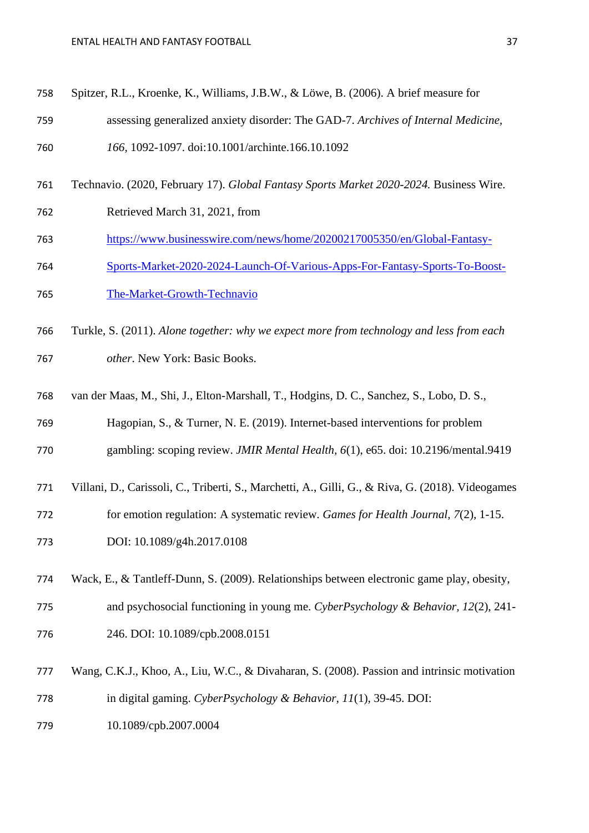- Spitzer, R.L., Kroenke, K., Williams, J.B.W., & Löwe, B. (2006). A brief measure for assessing generalized anxiety disorder: The GAD-7. *Archives of Internal Medicine, 166,* 1092-1097. doi:10.1001/archinte.166.10.1092
- Technavio. (2020, February 17). *Global Fantasy Sports Market 2020-2024.* Business Wire.
- Retrieved March 31, 2021, from
- [https://www.businesswire.com/news/home/20200217005350/en/Global-Fantasy-](https://www.businesswire.com/news/home/20200217005350/en/Global-Fantasy-Sports-Market-2020-2024-Launch-Of-Various-Apps-For-Fantasy-Sports-To-Boost-The-Market-Growth-Technavio)
- [Sports-Market-2020-2024-Launch-Of-Various-Apps-For-Fantasy-Sports-To-Boost-](https://www.businesswire.com/news/home/20200217005350/en/Global-Fantasy-Sports-Market-2020-2024-Launch-Of-Various-Apps-For-Fantasy-Sports-To-Boost-The-Market-Growth-Technavio)
- [The-Market-Growth-Technavio](https://www.businesswire.com/news/home/20200217005350/en/Global-Fantasy-Sports-Market-2020-2024-Launch-Of-Various-Apps-For-Fantasy-Sports-To-Boost-The-Market-Growth-Technavio)
- Turkle, S. (2011). *Alone together: why we expect more from technology and less from each other*. New York: Basic Books.
- van der Maas, M., Shi, J., Elton-Marshall, T., Hodgins, D. C., Sanchez, S., Lobo, D. S.,
- Hagopian, S., & Turner, N. E. (2019). Internet-based interventions for problem
- gambling: scoping review. *JMIR Mental Health, 6*(1), e65. doi: 10.2196/mental.9419
- Villani, D., Carissoli, C., Triberti, S., Marchetti, A., Gilli, G., & Riva, G. (2018). Videogames
- for emotion regulation: A systematic review. *Games for Health Journal, 7*(2), 1-15.
- DOI: 10.1089/g4h.2017.0108
- Wack, E., & Tantleff-Dunn, S. (2009). Relationships between electronic game play, obesity, and psychosocial functioning in young me. *CyberPsychology & Behavior, 12*(2), 241- 246. DOI: 10.1089/cpb.2008.0151
- Wang, C.K.J., Khoo, A., Liu, W.C., & Divaharan, S. (2008). Passion and intrinsic motivation in digital gaming. *CyberPsychology & Behavior, 11*(1), 39-45. DOI:
- 10.1089/cpb.2007.0004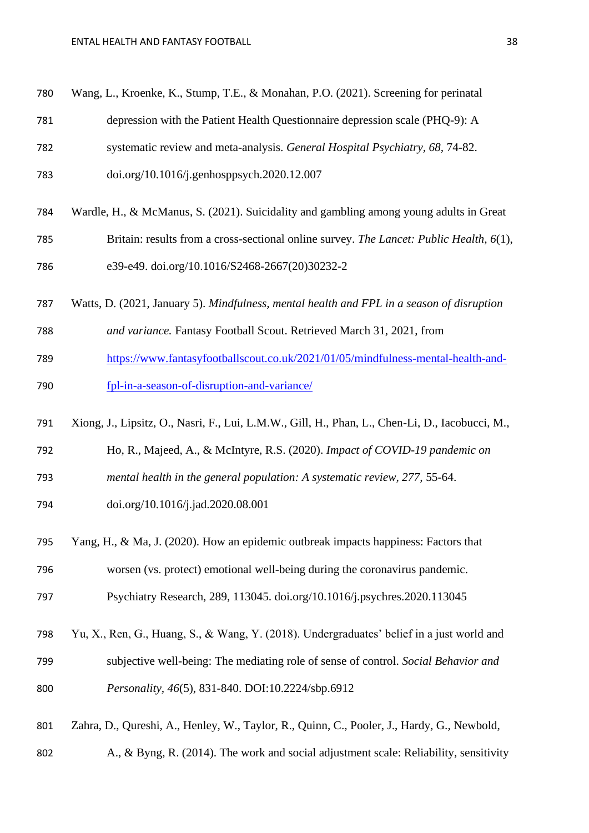| 780 | Wang, L., Kroenke, K., Stump, T.E., & Monahan, P.O. (2021). Screening for perinatal             |
|-----|-------------------------------------------------------------------------------------------------|
| 781 | depression with the Patient Health Questionnaire depression scale (PHQ-9): A                    |
| 782 | systematic review and meta-analysis. General Hospital Psychiatry, 68, 74-82.                    |
| 783 | doi.org/10.1016/j.genhosppsych.2020.12.007                                                      |
| 784 | Wardle, H., & McManus, S. (2021). Suicidality and gambling among young adults in Great          |
| 785 | Britain: results from a cross-sectional online survey. The Lancet: Public Health, 6(1),         |
| 786 | e39-e49. doi.org/10.1016/S2468-2667(20)30232-2                                                  |
| 787 | Watts, D. (2021, January 5). Mindfulness, mental health and FPL in a season of disruption       |
| 788 | and variance. Fantasy Football Scout. Retrieved March 31, 2021, from                            |
| 789 | https://www.fantasyfootballscout.co.uk/2021/01/05/mindfulness-mental-health-and-                |
| 790 | fpl-in-a-season-of-disruption-and-variance/                                                     |
| 791 | Xiong, J., Lipsitz, O., Nasri, F., Lui, L.M.W., Gill, H., Phan, L., Chen-Li, D., Iacobucci, M., |
| 792 | Ho, R., Majeed, A., & McIntyre, R.S. (2020). Impact of COVID-19 pandemic on                     |
| 793 | mental health in the general population: A systematic review, 277, 55-64.                       |
| 794 | doi.org/10.1016/j.jad.2020.08.001                                                               |
| 795 | Yang, H., & Ma, J. (2020). How an epidemic outbreak impacts happiness: Factors that             |
| 796 | worsen (vs. protect) emotional well-being during the coronavirus pandemic.                      |
| 797 | Psychiatry Research, 289, 113045. doi.org/10.1016/j.psychres.2020.113045                        |
| 798 | Yu, X., Ren, G., Huang, S., & Wang, Y. (2018). Undergraduates' belief in a just world and       |
| 799 | subjective well-being: The mediating role of sense of control. Social Behavior and              |
| 800 | Personality, 46(5), 831-840. DOI:10.2224/sbp.6912                                               |
| 801 | Zahra, D., Qureshi, A., Henley, W., Taylor, R., Quinn, C., Pooler, J., Hardy, G., Newbold,      |

A., & Byng, R. (2014). The work and social adjustment scale: Reliability, sensitivity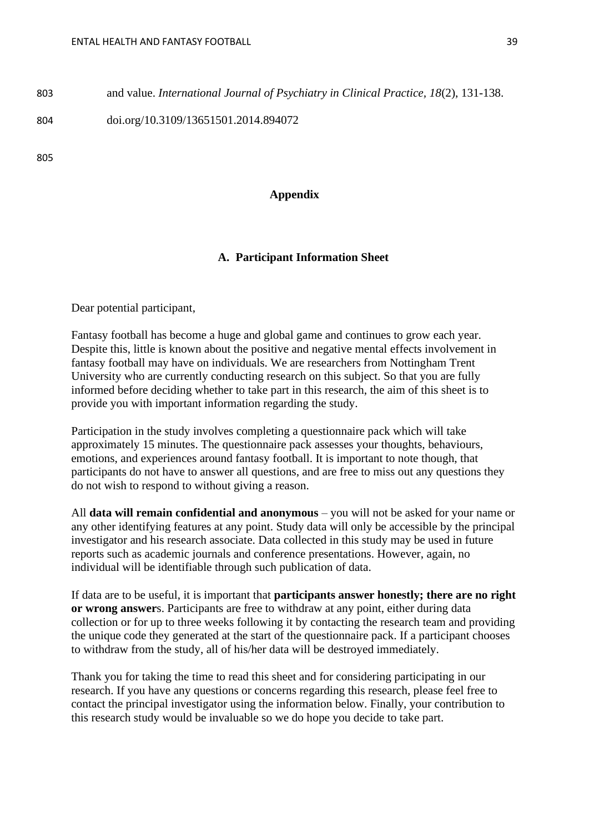803 and value. *International Journal of Psychiatry in Clinical Practice, 18*(2), 131-138.

804 doi.org/10.3109/13651501.2014.894072

805

#### **Appendix**

#### **A. Participant Information Sheet**

Dear potential participant,

Fantasy football has become a huge and global game and continues to grow each year. Despite this, little is known about the positive and negative mental effects involvement in fantasy football may have on individuals. We are researchers from Nottingham Trent University who are currently conducting research on this subject. So that you are fully informed before deciding whether to take part in this research, the aim of this sheet is to provide you with important information regarding the study.

Participation in the study involves completing a questionnaire pack which will take approximately 15 minutes. The questionnaire pack assesses your thoughts, behaviours, emotions, and experiences around fantasy football. It is important to note though, that participants do not have to answer all questions, and are free to miss out any questions they do not wish to respond to without giving a reason.

All **data will remain confidential and anonymous** – you will not be asked for your name or any other identifying features at any point. Study data will only be accessible by the principal investigator and his research associate. Data collected in this study may be used in future reports such as academic journals and conference presentations. However, again, no individual will be identifiable through such publication of data.

If data are to be useful, it is important that **participants answer honestly; there are no right or wrong answer**s. Participants are free to withdraw at any point, either during data collection or for up to three weeks following it by contacting the research team and providing the unique code they generated at the start of the questionnaire pack. If a participant chooses to withdraw from the study, all of his/her data will be destroyed immediately.

Thank you for taking the time to read this sheet and for considering participating in our research. If you have any questions or concerns regarding this research, please feel free to contact the principal investigator using the information below. Finally, your contribution to this research study would be invaluable so we do hope you decide to take part.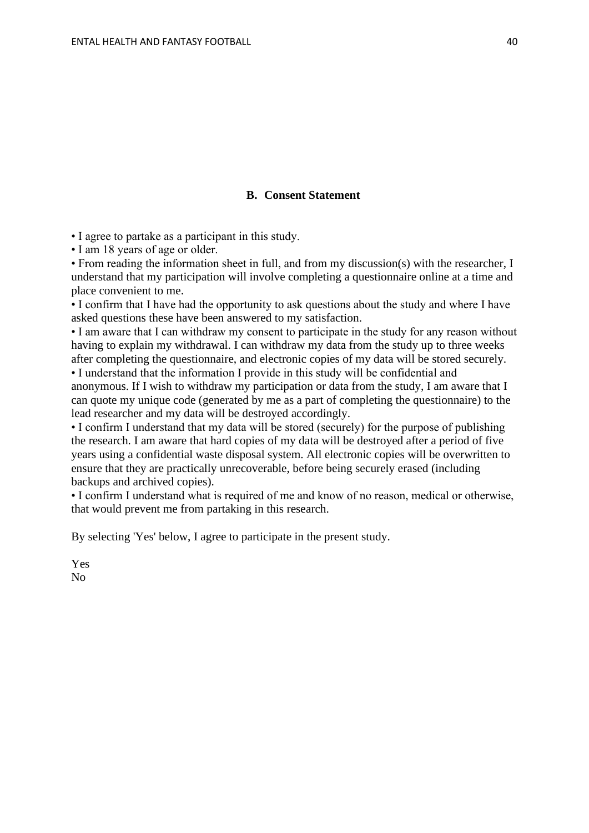#### **B. Consent Statement**

• I agree to partake as a participant in this study.

• I am 18 years of age or older.

• From reading the information sheet in full, and from my discussion(s) with the researcher, I understand that my participation will involve completing a questionnaire online at a time and place convenient to me.

• I confirm that I have had the opportunity to ask questions about the study and where I have asked questions these have been answered to my satisfaction.

• I am aware that I can withdraw my consent to participate in the study for any reason without having to explain my withdrawal. I can withdraw my data from the study up to three weeks after completing the questionnaire, and electronic copies of my data will be stored securely.

• I understand that the information I provide in this study will be confidential and anonymous. If I wish to withdraw my participation or data from the study, I am aware that I can quote my unique code (generated by me as a part of completing the questionnaire) to the lead researcher and my data will be destroyed accordingly.

• I confirm I understand that my data will be stored (securely) for the purpose of publishing the research. I am aware that hard copies of my data will be destroyed after a period of five years using a confidential waste disposal system. All electronic copies will be overwritten to ensure that they are practically unrecoverable, before being securely erased (including backups and archived copies).

• I confirm I understand what is required of me and know of no reason, medical or otherwise, that would prevent me from partaking in this research.

By selecting 'Yes' below, I agree to participate in the present study.

Yes No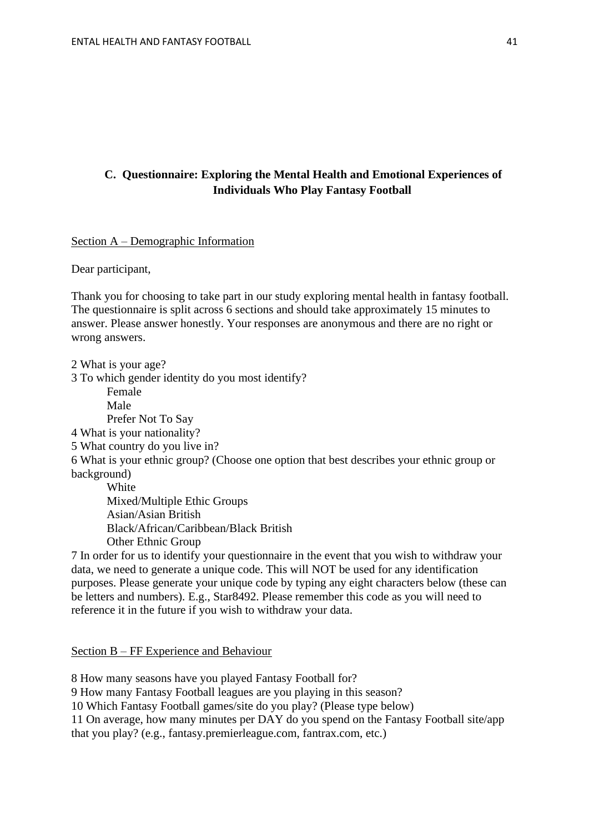#### **C. Questionnaire: Exploring the Mental Health and Emotional Experiences of Individuals Who Play Fantasy Football**

Section A – Demographic Information

Dear participant,

Thank you for choosing to take part in our study exploring mental health in fantasy football. The questionnaire is split across 6 sections and should take approximately 15 minutes to answer. Please answer honestly. Your responses are anonymous and there are no right or wrong answers.

2 What is your age? 3 To which gender identity do you most identify?

Female

Male

Prefer Not To Say

4 What is your nationality?

5 What country do you live in?

6 What is your ethnic group? (Choose one option that best describes your ethnic group or background)

**White** Mixed/Multiple Ethic Groups Asian/Asian British Black/African/Caribbean/Black British Other Ethnic Group

7 In order for us to identify your questionnaire in the event that you wish to withdraw your data, we need to generate a unique code. This will NOT be used for any identification purposes. Please generate your unique code by typing any eight characters below (these can be letters and numbers). E.g., Star8492. Please remember this code as you will need to reference it in the future if you wish to withdraw your data.

Section B – FF Experience and Behaviour

8 How many seasons have you played Fantasy Football for?

9 How many Fantasy Football leagues are you playing in this season?

10 Which Fantasy Football games/site do you play? (Please type below)

11 On average, how many minutes per DAY do you spend on the Fantasy Football site/app

that you play? (e.g., fantasy.premierleague.com, fantrax.com, etc.)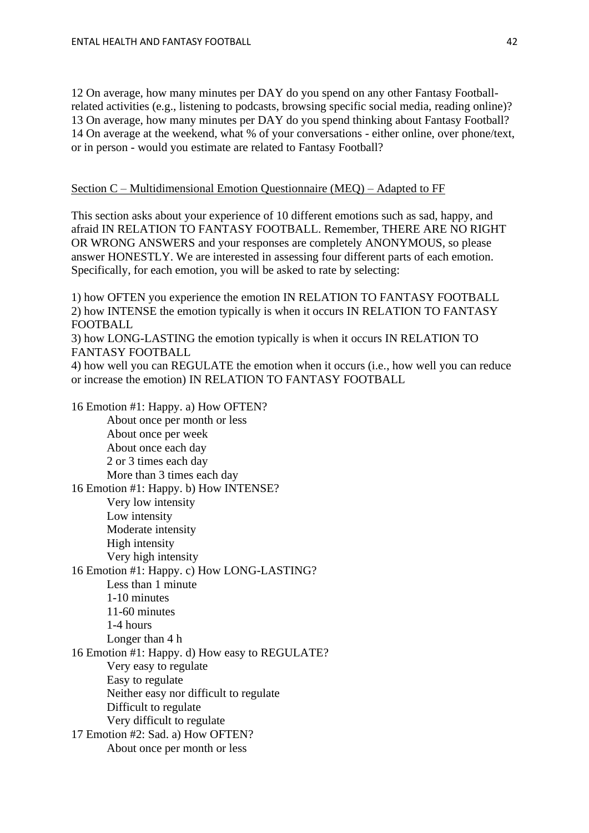12 On average, how many minutes per DAY do you spend on any other Fantasy Footballrelated activities (e.g., listening to podcasts, browsing specific social media, reading online)? 13 On average, how many minutes per DAY do you spend thinking about Fantasy Football? 14 On average at the weekend, what % of your conversations - either online, over phone/text, or in person - would you estimate are related to Fantasy Football?

#### Section C – Multidimensional Emotion Questionnaire (MEQ) – Adapted to FF

This section asks about your experience of 10 different emotions such as sad, happy, and afraid IN RELATION TO FANTASY FOOTBALL. Remember, THERE ARE NO RIGHT OR WRONG ANSWERS and your responses are completely ANONYMOUS, so please answer HONESTLY. We are interested in assessing four different parts of each emotion. Specifically, for each emotion, you will be asked to rate by selecting:

1) how OFTEN you experience the emotion IN RELATION TO FANTASY FOOTBALL 2) how INTENSE the emotion typically is when it occurs IN RELATION TO FANTASY FOOTBALL

3) how LONG-LASTING the emotion typically is when it occurs IN RELATION TO FANTASY FOOTBALL

4) how well you can REGULATE the emotion when it occurs (i.e., how well you can reduce or increase the emotion) IN RELATION TO FANTASY FOOTBALL

16 Emotion #1: Happy. a) How OFTEN? About once per month or less About once per week About once each day 2 or 3 times each day More than 3 times each day 16 Emotion #1: Happy. b) How INTENSE? Very low intensity Low intensity Moderate intensity High intensity Very high intensity 16 Emotion #1: Happy. c) How LONG-LASTING? Less than 1 minute 1-10 minutes 11-60 minutes 1-4 hours Longer than 4 h 16 Emotion #1: Happy. d) How easy to REGULATE? Very easy to regulate Easy to regulate Neither easy nor difficult to regulate Difficult to regulate Very difficult to regulate 17 Emotion #2: Sad. a) How OFTEN? About once per month or less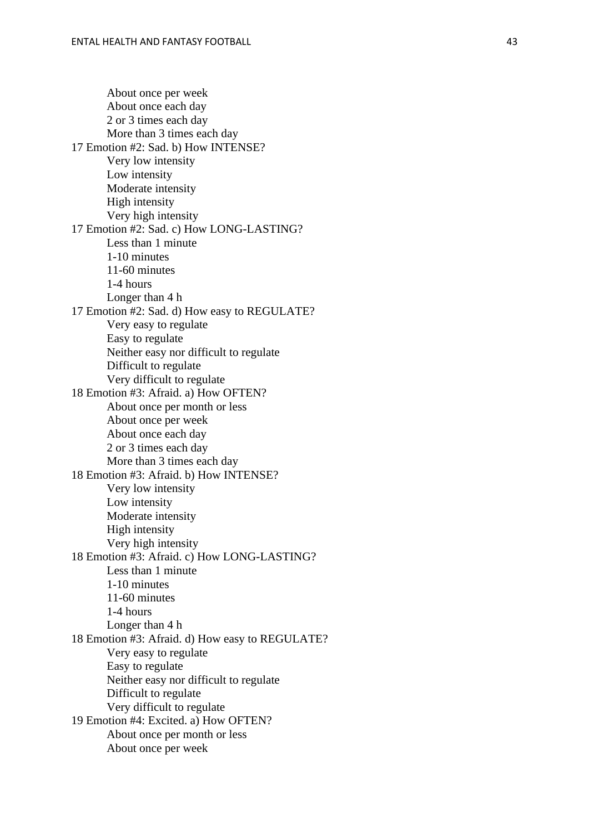About once per week About once each day 2 or 3 times each day More than 3 times each day 17 Emotion #2: Sad. b) How INTENSE? Very low intensity Low intensity Moderate intensity High intensity Very high intensity 17 Emotion #2: Sad. c) How LONG -LASTING? Less than 1 minute 1-10 minutes 11 -60 minutes 1 -4 hours Longer than 4 h 17 Emotion #2: Sad. d) How easy to REGULATE? Very easy to regulate Easy to regulate Neither easy nor difficult to regulate Difficult to regulate Very difficult to regulate 18 Emotion #3: Afraid. a) How OFTEN? About once per month or less About once per week About once each day 2 or 3 times each day More than 3 times each day 18 Emotion #3: Afraid. b) How INTENSE? Very low intensity Low intensity Moderate intensity High intensity Very high intensity 18 Emotion #3: Afraid. c) How LONG -LASTING? Less than 1 minute 1-10 minutes 11 -60 minutes 1 -4 hours Longer than 4 h 18 Emotion #3: Afraid. d) How easy to REGULATE? Very easy to regulate Easy to regulate Neither easy nor difficult to regulate Difficult to regulate Very difficult to regulate 19 Emotion #4: Excited. a) How OFTEN? About once per month or less About once per week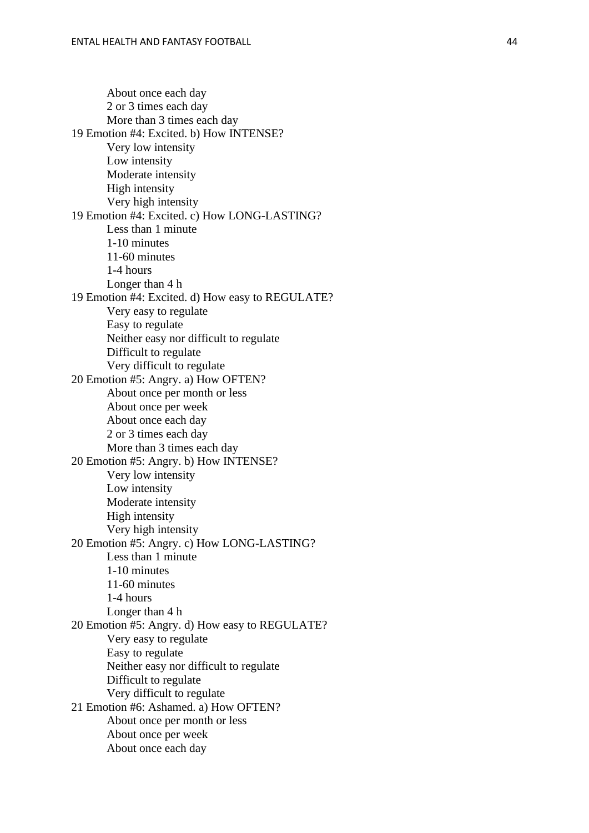About once each day 2 or 3 times each day More than 3 times each day 19 Emotion #4: Excited. b) How INTENSE? Very low intensity Low intensity Moderate intensity High intensity Very high intensity 19 Emotion #4: Excited. c) How LONG -LASTING? Less than 1 minute 1-10 minutes 11 -60 minutes 1 -4 hours Longer than 4 h 19 Emotion #4: Excited. d) How easy to REGULATE? Very easy to regulate Easy to regulate Neither easy nor difficult to regulate Difficult to regulate Very difficult to regulate 20 Emotion #5: Angry. a) How OFTEN? About once per month or less About once per week About once each day 2 or 3 times each day More than 3 times each day 20 Emotion #5: Angry. b) How INTENSE? Very low intensity Low intensity Moderate intensity High intensity Very high intensity 20 Emotion #5: Angry. c) How LONG -LASTING? Less than 1 minute 1-10 minutes 11 -60 minutes 1 -4 hours Longer than 4 h 20 Emotion #5: Angry. d) How easy to REGULATE? Very easy to regulate Easy to regulate Neither easy nor difficult to regulate Difficult to regulate Very difficult to regulate 21 Emotion #6: Ashamed. a) How OFTEN? About once per month or less About once per week About once each day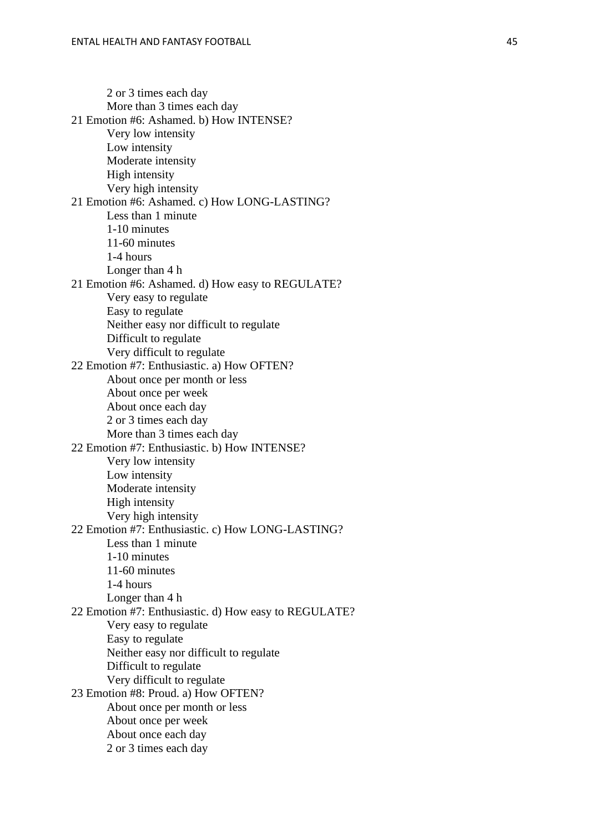2 or 3 times each day More than 3 times each day 21 Emotion #6: Ashamed. b) How INTENSE? Very low intensity Low intensity Moderate intensity High intensity Very high intensity 21 Emotion #6: Ashamed. c) How LONG -LASTING? Less than 1 minute 1-10 minutes 11 -60 minutes 1 -4 hours Longer than 4 h 21 Emotion #6: Ashamed. d) How easy to REGULATE? Very easy to regulate Easy to regulate Neither easy nor difficult to regulate Difficult to regulate Very difficult to regulate 22 Emotion #7: Enthusiastic. a) How OFTEN? About once per month or less About once per week About once each day 2 or 3 times each day More than 3 times each day 22 Emotion #7: Enthusiastic. b) How INTENSE? Very low intensity Low intensity Moderate intensity High intensity Very high intensity 22 Emotion #7: Enthusiastic. c) How LONG -LASTING? Less than 1 minute 1-10 minutes 11 -60 minutes 1 -4 hours Longer than 4 h 22 Emotion #7: Enthusiastic. d) How easy to REGULATE? Very easy to regulate Easy to regulate Neither easy nor difficult to regulate Difficult to regulate Very difficult to regulate 23 Emotion #8: Proud. a) How OFTEN? About once per month or less About once per week About once each day 2 or 3 times each day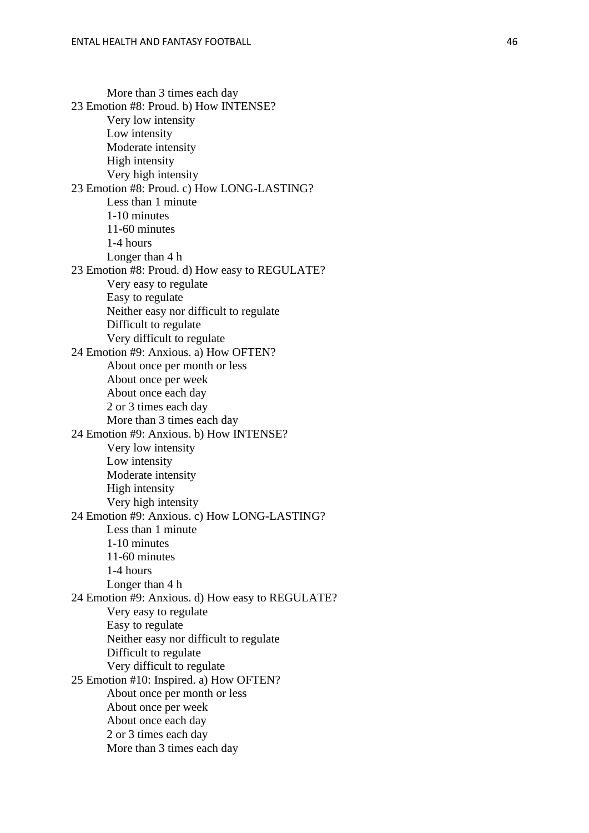More than 3 times each day 23 Emotion #8: Proud. b) How INTENSE? Very low intensity Low intensity Moderate intensity High intensity Very high intensity 23 Emotion #8: Proud. c) How LONG -LASTING? Less than 1 minute 1-10 minutes 11 -60 minutes 1 -4 hours Longer than 4 h 23 Emotion #8: Proud. d) How easy to REGULATE? Very easy to regulate Easy to regulate Neither easy nor difficult to regulate Difficult to regulate Very difficult to regulate 24 Emotion #9: Anxious. a) How OFTEN? About once per month or less About once per week About once each day 2 or 3 times each day More than 3 times each day 24 Emotion #9: Anxious. b) How INTENSE? Very low intensity Low intensity Moderate intensity High intensity Very high intensity 24 Emotion #9: Anxious. c) How LONG -LASTING? Less than 1 minute 1-10 minutes 11 -60 minutes 1 -4 hours Longer than 4 h 24 Emotion #9: Anxious. d) How easy to REGULATE? Very easy to regulate Easy to regulate Neither easy nor difficult to regulate Difficult to regulate Very difficult to regulate 25 Emotion #10: Inspired. a) How OFTEN? About once per month or less About once per week About once each day 2 or 3 times each day More than 3 times each day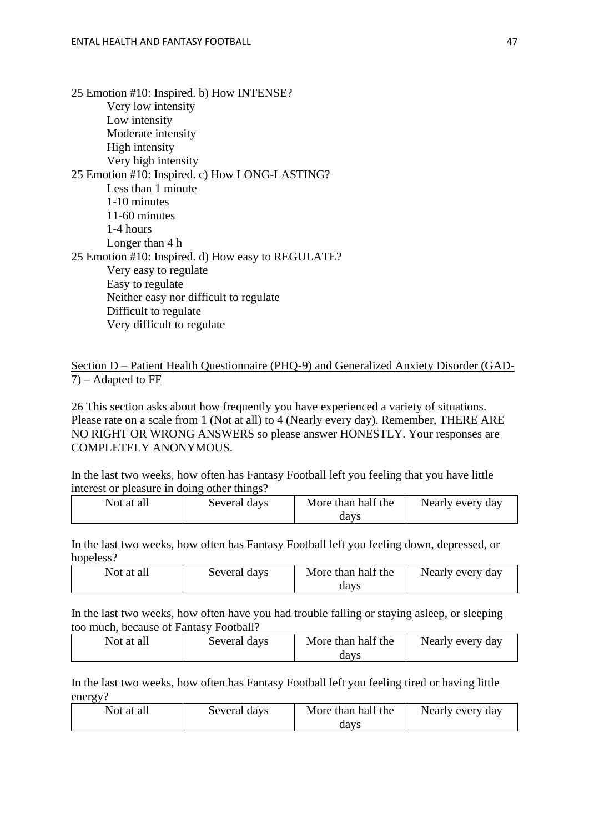25 Emotion #10: Inspired. b) How INTENSE? Very low intensity Low intensity Moderate intensity High intensity Very high intensity 25 Emotion #10: Inspired. c) How LONG-LASTING? Less than 1 minute 1-10 minutes 11-60 minutes 1-4 hours Longer than 4 h 25 Emotion #10: Inspired. d) How easy to REGULATE? Very easy to regulate Easy to regulate Neither easy nor difficult to regulate Difficult to regulate Very difficult to regulate

Section D – Patient Health Questionnaire (PHQ-9) and Generalized Anxiety Disorder (GAD-7) – Adapted to FF

26 This section asks about how frequently you have experienced a variety of situations. Please rate on a scale from 1 (Not at all) to 4 (Nearly every day). Remember, THERE ARE NO RIGHT OR WRONG ANSWERS so please answer HONESTLY. Your responses are COMPLETELY ANONYMOUS.

In the last two weeks, how often has Fantasy Football left you feeling that you have little interest or pleasure in doing other things?

| Not at all | Several days | More than half the | Nearly every day |
|------------|--------------|--------------------|------------------|
|            |              | davs               |                  |

In the last two weeks, how often has Fantasy Football left you feeling down, depressed, or hopeless?

| Not at all | Several days | More than half the | Nearly every day |
|------------|--------------|--------------------|------------------|
|            |              | davs               |                  |

In the last two weeks, how often have you had trouble falling or staying asleep, or sleeping too much, because of Fantasy Football?

| Not at all | Several days | More than half the | Nearly every day |
|------------|--------------|--------------------|------------------|
|            |              | davs               |                  |

In the last two weeks, how often has Fantasy Football left you feeling tired or having little energy?

| Not at all | Several days | More than half the | Nearly every day |
|------------|--------------|--------------------|------------------|
|            |              | davs               |                  |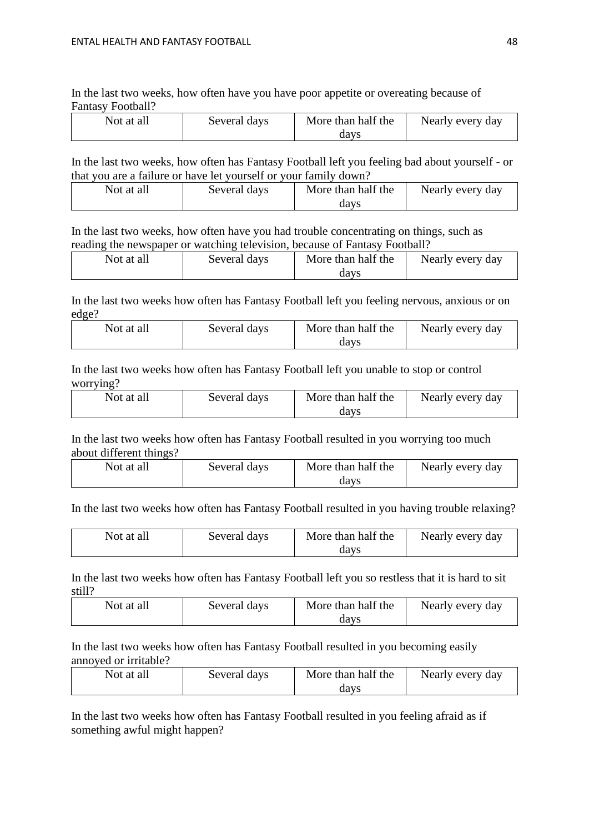In the last two weeks, how often have you have poor appetite or overeating because of Fantasy Football?

| Not at all | Several days | More than half the | Nearly every day |
|------------|--------------|--------------------|------------------|
|            |              | davs               |                  |

In the last two weeks, how often has Fantasy Football left you feeling bad about yourself - or that you are a failure or have let yourself or your family down?

| Not at all | Several days | More than half the | Nearly every day |
|------------|--------------|--------------------|------------------|
|            |              | davs               |                  |

In the last two weeks, how often have you had trouble concentrating on things, such as reading the newspaper or watching television, because of Fantasy Football?

| Not at all | Several days | More than half the | Nearly every day |
|------------|--------------|--------------------|------------------|
|            |              | davs               |                  |

In the last two weeks how often has Fantasy Football left you feeling nervous, anxious or on edge?

| Not at all | Several days | More than half the | Nearly every day |
|------------|--------------|--------------------|------------------|
|            |              | davs               |                  |

In the last two weeks how often has Fantasy Football left you unable to stop or control worrying?

| Not at all | Several days | More than half the | Nearly every day |
|------------|--------------|--------------------|------------------|
|            |              | davs               |                  |

In the last two weeks how often has Fantasy Football resulted in you worrying too much about different things?

| Not at all | Several days | More than half the | Nearly every day |
|------------|--------------|--------------------|------------------|
|            |              | davs               |                  |

In the last two weeks how often has Fantasy Football resulted in you having trouble relaxing?

| Not at all | Several days | More than half the | Nearly every day |
|------------|--------------|--------------------|------------------|
|            |              | davs               |                  |

In the last two weeks how often has Fantasy Football left you so restless that it is hard to sit still?

| Not at all | Several days | More than half the | Nearly every day |
|------------|--------------|--------------------|------------------|
|            |              | davs               |                  |

In the last two weeks how often has Fantasy Football resulted in you becoming easily annoyed or irritable?

| Not at all | Several days | More than half the | Nearly every day |
|------------|--------------|--------------------|------------------|
|            |              | davs               |                  |

In the last two weeks how often has Fantasy Football resulted in you feeling afraid as if something awful might happen?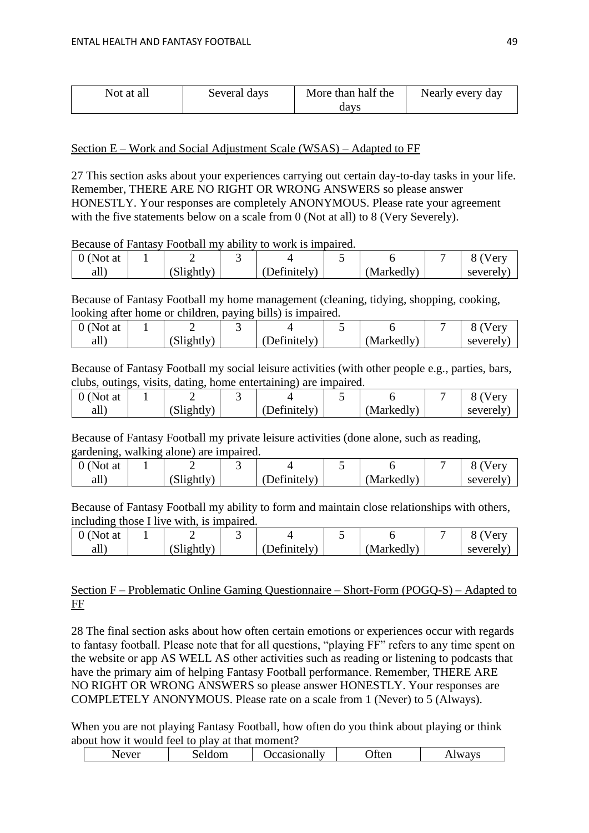| Not at all | Several days | More than half the | Nearly every day |
|------------|--------------|--------------------|------------------|
|            |              | davs               |                  |

#### Section E – Work and Social Adjustment Scale (WSAS) – Adapted to FF

27 This section asks about your experiences carrying out certain day-to-day tasks in your life. Remember, THERE ARE NO RIGHT OR WRONG ANSWERS so please answer HONESTLY. Your responses are completely ANONYMOUS. Please rate your agreement with the five statements below on a scale from 0 (Not at all) to 8 (Very Severely).

#### Because of Fantasy Football my ability to work is impaired.

| 0 (Not at |                  |              |            |          |
|-----------|------------------|--------------|------------|----------|
| all j     | $\delta$ ightly) | (Definitely) | (Markedly) | severely |

Because of Fantasy Football my home management (cleaning, tidying, shopping, cooking, looking after home or children, paying bills) is impaired.

| (Not at |                  |              |            |          |
|---------|------------------|--------------|------------|----------|
| all     | $\delta$ lightly | (Definitely) | (Markedly) | severelv |

Because of Fantasy Football my social leisure activities (with other people e.g., parties, bars, clubs, outings, visits, dating, home entertaining) are impaired.

| ) (Not at |                  |                    |           |          |
|-----------|------------------|--------------------|-----------|----------|
| all,      | $\alpha$ lightly | $\Delta$ efinitely | Markedly) | severely |

Because of Fantasy Football my private leisure activities (done alone, such as reading, gardening, walking alone) are impaired.

| (Not at |                    |                        |            |          |
|---------|--------------------|------------------------|------------|----------|
| all.    | $\lambda$ slightly | $\sim$<br>(Definitely) | (Markedly) | severely |

Because of Fantasy Football my ability to form and maintain close relationships with others, including those I live with, is impaired.

| U (Not at |                   |                      |            | $\mathbf{r}$ |
|-----------|-------------------|----------------------|------------|--------------|
| all`      | $\delta$ lightly) | $\Delta$ Definitely) | (Markedly) | severely     |

#### Section F – Problematic Online Gaming Questionnaire – Short-Form (POGQ-S) – Adapted to FF

28 The final section asks about how often certain emotions or experiences occur with regards to fantasy football. Please note that for all questions, "playing FF" refers to any time spent on the website or app AS WELL AS other activities such as reading or listening to podcasts that have the primary aim of helping Fantasy Football performance. Remember, THERE ARE NO RIGHT OR WRONG ANSWERS so please answer HONESTLY. Your responses are COMPLETELY ANONYMOUS. Please rate on a scale from 1 (Never) to 5 (Always).

When you are not playing Fantasy Football, how often do you think about playing or think about how it would feel to play at that moment?

| . .<br>$-77.44$<br>◡ | .<br>,,,,<br>∼ | наг<br>л. | 71 W.H | M<br>-K)<br>. |
|----------------------|----------------|-----------|--------|---------------|